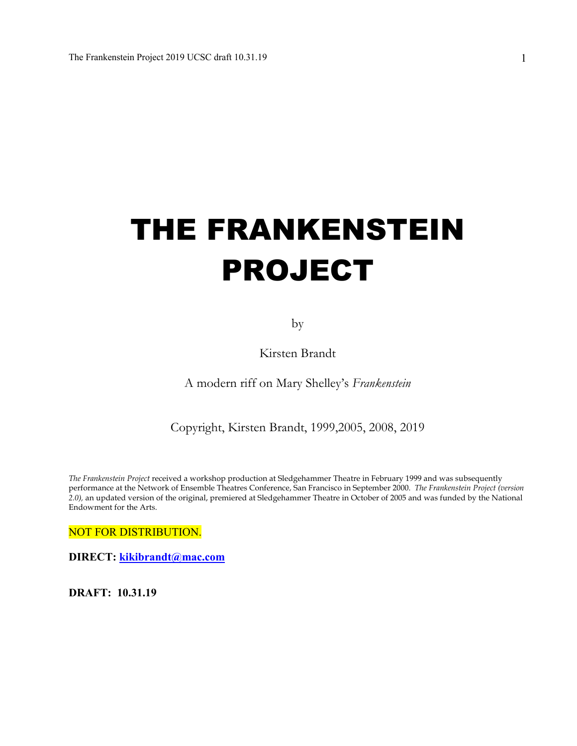# THE FRANKENSTEIN PROJECT

by

Kirsten Brandt

A modern riff on Mary Shelley's *Frankenstein*

Copyright, Kirsten Brandt, 1999,2005, 2008, 2019

*The Frankenstein Project* received a workshop production at Sledgehammer Theatre in February 1999 and was subsequently performance at the Network of Ensemble Theatres Conference, San Francisco in September 2000. *The Frankenstein Project (version 2.0),* an updated version of the original, premiered at Sledgehammer Theatre in October of 2005 and was funded by the National Endowment for the Arts.

NOT FOR DISTRIBUTION.

**DIRECT: kikibrandt@mac.com**

**DRAFT: 10.31.19**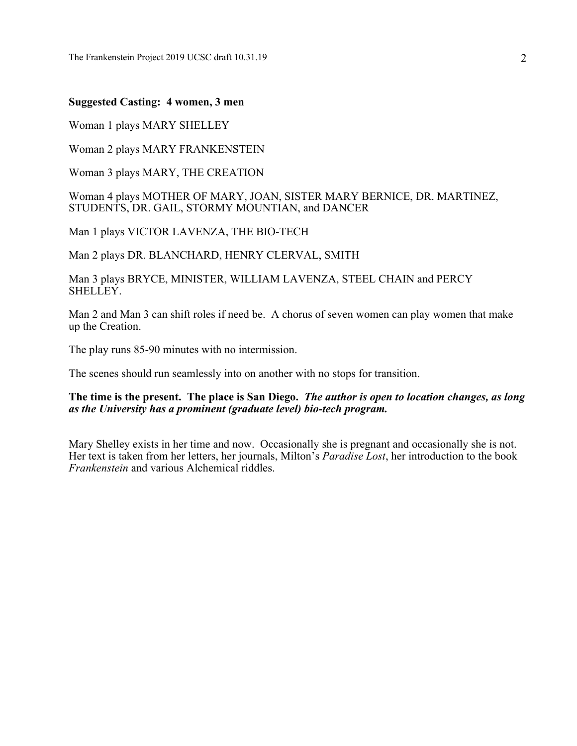#### **Suggested Casting: 4 women, 3 men**

Woman 1 plays MARY SHELLEY

Woman 2 plays MARY FRANKENSTEIN

Woman 3 plays MARY, THE CREATION

#### Woman 4 plays MOTHER OF MARY, JOAN, SISTER MARY BERNICE, DR. MARTINEZ, STUDENTS, DR. GAIL, STORMY MOUNTIAN, and DANCER

Man 1 plays VICTOR LAVENZA, THE BIO-TECH

Man 2 plays DR. BLANCHARD, HENRY CLERVAL, SMITH

Man 3 plays BRYCE, MINISTER, WILLIAM LAVENZA, STEEL CHAIN and PERCY SHELLEY.

Man 2 and Man 3 can shift roles if need be. A chorus of seven women can play women that make up the Creation.

The play runs 85-90 minutes with no intermission.

The scenes should run seamlessly into on another with no stops for transition.

#### **The time is the present. The place is San Diego.** *The author is open to location changes, as long as the University has a prominent (graduate level) bio-tech program.*

Mary Shelley exists in her time and now. Occasionally she is pregnant and occasionally she is not. Her text is taken from her letters, her journals, Milton's *Paradise Lost*, her introduction to the book *Frankenstein* and various Alchemical riddles.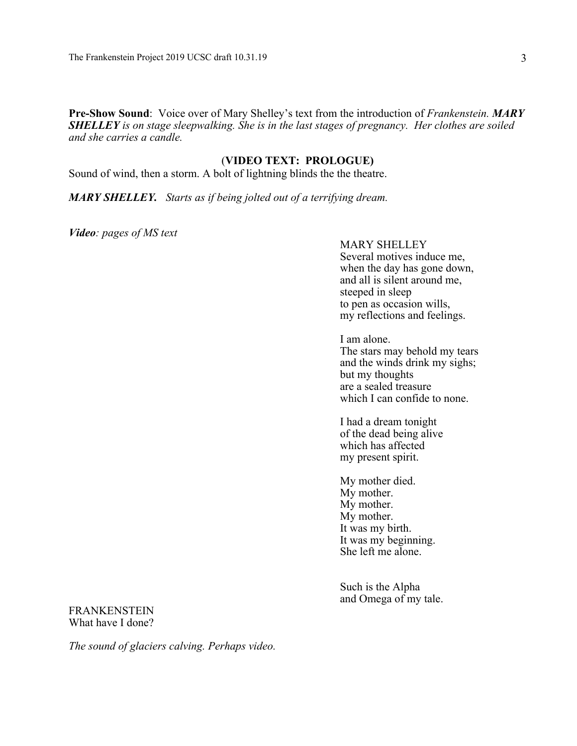**Pre-Show Sound**: Voice over of Mary Shelley's text from the introduction of *Frankenstein. MARY SHELLEY is on stage sleepwalking. She is in the last stages of pregnancy. Her clothes are soiled and she carries a candle.* 

#### (**VIDEO TEXT: PROLOGUE)**

Sound of wind, then a storm. A bolt of lightning blinds the the theatre.

*MARY SHELLEY. Starts as if being jolted out of a terrifying dream.*

*Video: pages of MS text*

#### MARY SHELLEY

Several motives induce me, when the day has gone down, and all is silent around me, steeped in sleep to pen as occasion wills, my reflections and feelings.

I am alone. The stars may behold my tears and the winds drink my sighs;

but my thoughts are a sealed treasure which I can confide to none.

I had a dream tonight of the dead being alive which has affected my present spirit.

My mother died. My mother. My mother. My mother. It was my birth. It was my beginning. She left me alone.

Such is the Alpha and Omega of my tale.

FRANKENSTEIN What have I done?

*The sound of glaciers calving. Perhaps video.*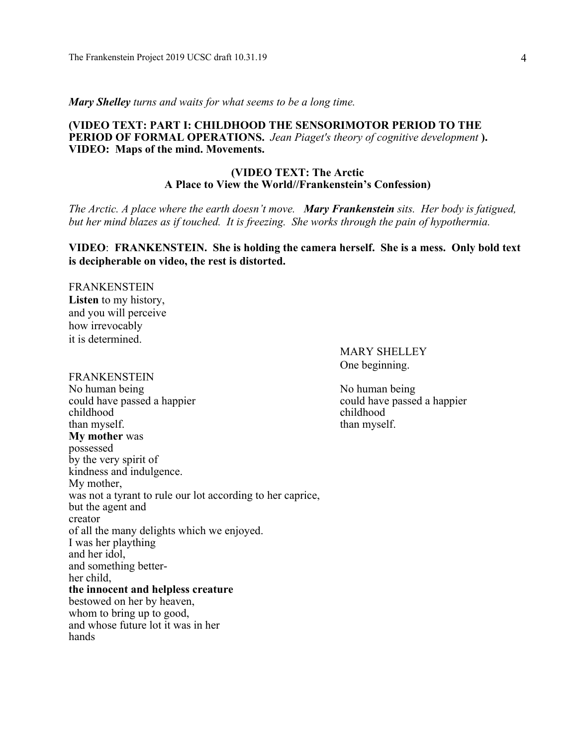*Mary Shelley turns and waits for what seems to be a long time.* 

#### **(VIDEO TEXT: PART I: CHILDHOOD THE SENSORIMOTOR PERIOD TO THE PERIOD OF FORMAL OPERATIONS.** *Jean Piaget's theory of cognitive development* **). VIDEO: Maps of the mind. Movements.**

#### **(VIDEO TEXT: The Arctic A Place to View the World//Frankenstein's Confession)**

*The Arctic. A place where the earth doesn't move. Mary Frankenstein sits. Her body is fatigued, but her mind blazes as if touched. It is freezing. She works through the pain of hypothermia.* 

#### **VIDEO**: **FRANKENSTEIN. She is holding the camera herself. She is a mess. Only bold text is decipherable on video, the rest is distorted.**

FRANKENSTEIN **Listen** to my history, and you will perceive how irrevocably it is determined.

#### FRANKENSTEIN

No human being No human being No human being could have passed a happier could have passed a happier childhood childhood than myself. than myself. **My mother** was possessed by the very spirit of kindness and indulgence. My mother, was not a tyrant to rule our lot according to her caprice, but the agent and creator of all the many delights which we enjoyed. I was her plaything and her idol, and something betterher child, **the innocent and helpless creature** bestowed on her by heaven, whom to bring up to good, and whose future lot it was in her hands

MARY SHELLEY One beginning.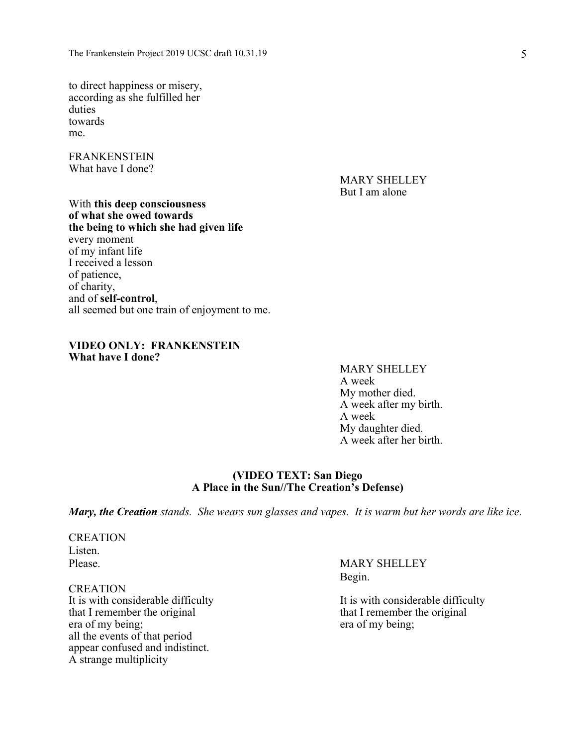to direct happiness or misery, according as she fulfilled her duties towards me.

FRANKENSTEIN What have I done?

> MARY SHELLEY But I am alone

With **this deep consciousness of what she owed towards the being to which she had given life**  every moment of my infant life I received a lesson of patience, of charity, and of **self-control**, all seemed but one train of enjoyment to me.

#### **VIDEO ONLY: FRANKENSTEIN What have I done?**

#### MARY SHELLEY A week My mother died. A week after my birth. A week My daughter died.

A week after her birth.

## **(VIDEO TEXT: San Diego**

**A Place in the Sun//The Creation's Defense)**

*Mary, the Creation stands. She wears sun glasses and vapes. It is warm but her words are like ice.*

**CREATION** Listen.

CREATION It is with considerable difficulty It is with considerable difficulty that I remember the original that I remember the original era of my being; era of my being; all the events of that period appear confused and indistinct. A strange multiplicity

Please. MARY SHELLEY Begin.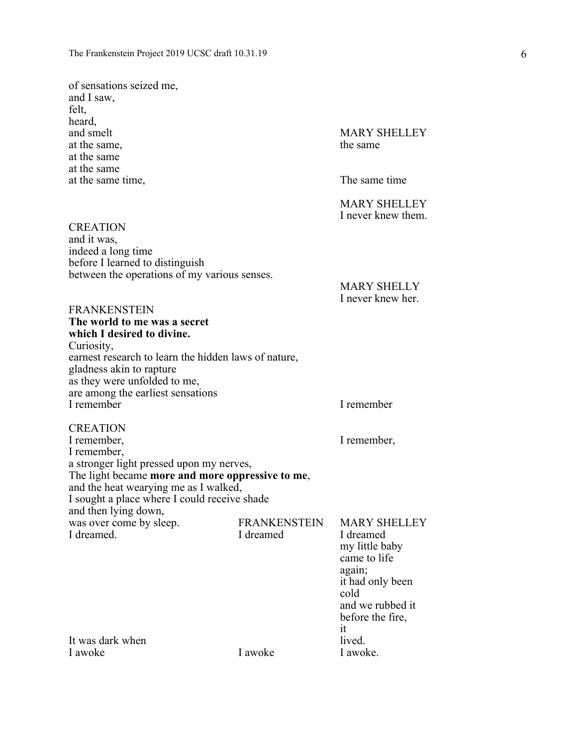of sensations seized me, and I saw, felt, heard, and smelt MARY SHELLEY at the same, the same the same the same that  $\frac{1}{2}$ at the same at the same at the same time, The same time

**CREATION** and it was,

indeed a long time

before I learned to distinguish

between the operations of my various senses.

MARY SHELLEY I never knew them.

MARY SHELLY I never knew her.

FRANKENSTEIN **The world to me was a secret which I desired to divine.** Curiosity, earnest research to learn the hidden laws of nature, gladness akin to rapture as they were unfolded to me, are among the earliest sensations I remember I remember CREATION I remember,  $\blacksquare$ I remember, a stronger light pressed upon my nerves, The light became **more and more oppressive to me**, and the heat wearying me as I walked, I sought a place where I could receive shade and then lying down, was over come by sleep.<br>
I dreamed Thermed Thermed Thermed Thermed Thermed Thermed Thermed Thermed Thermed Theorem and Therme I dreamed Therme I dreamed Section 1. I dreamed. I dreamed I dreamed my little baby came to life again; it had only been cold and we rubbed it before the fire, it It was dark when lived.<br>I awoke lived.<br>I awoke lived. I awoke.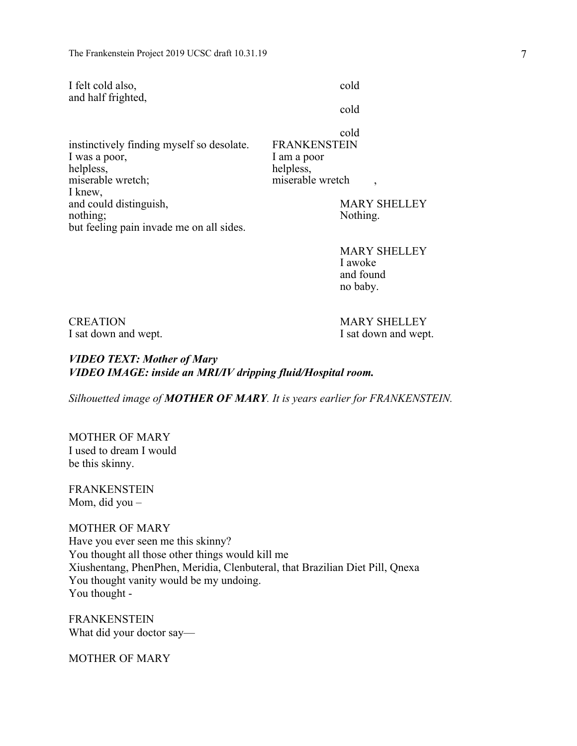| I felt cold also,  | cold |
|--------------------|------|
| and half frighted, |      |

cold

instinctively finding myself so desolate. FRANKENSTEIN I was a poor, I am a poor helpless, helpless, miserable wretch; miserable wretch  $\frac{1}{2}$  miserable wretch I knew, and could distinguish, MARY SHELLEY nothing; Nothing. but feeling pain invade me on all sides.

cold

MARY SHELLEY I awoke and found no baby.

CREATION MARY SHELLEY

I sat down and wept. I sat down and wept.

*VIDEO TEXT: Mother of Mary VIDEO IMAGE: inside an MRI/IV dripping fluid/Hospital room.*

*Silhouetted image of MOTHER OF MARY. It is years earlier for FRANKENSTEIN.* 

MOTHER OF MARY I used to dream I would be this skinny.

FRANKENSTEIN Mom, did you –

MOTHER OF MARY Have you ever seen me this skinny? You thought all those other things would kill me Xiushentang, PhenPhen, Meridia, Clenbuteral, that Brazilian Diet Pill, Qnexa You thought vanity would be my undoing. You thought -

**FRANKENSTEIN** What did your doctor say—

MOTHER OF MARY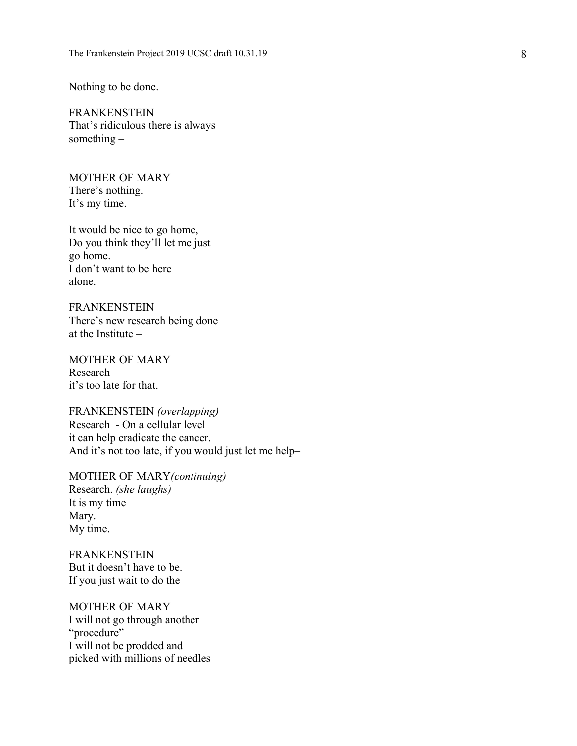Nothing to be done.

FRANKENSTEIN That's ridiculous there is always something –

MOTHER OF MARY There's nothing. It's my time.

It would be nice to go home, Do you think they'll let me just go home. I don't want to be here alone.

FRANKENSTEIN There's new research being done at the Institute –

MOTHER OF MARY Research – it's too late for that.

FRANKENSTEIN *(overlapping)* Research - On a cellular level it can help eradicate the cancer. And it's not too late, if you would just let me help –

MOTHER OF MARY*(continuing)* Research. *(she laughs)* It is my time Mary. My time.

FRANKENSTEIN But it doesn't have to be. If you just wait to do the –

MOTHER OF MARY I will not go through another "procedure" I will not be prodded and picked with millions of needle s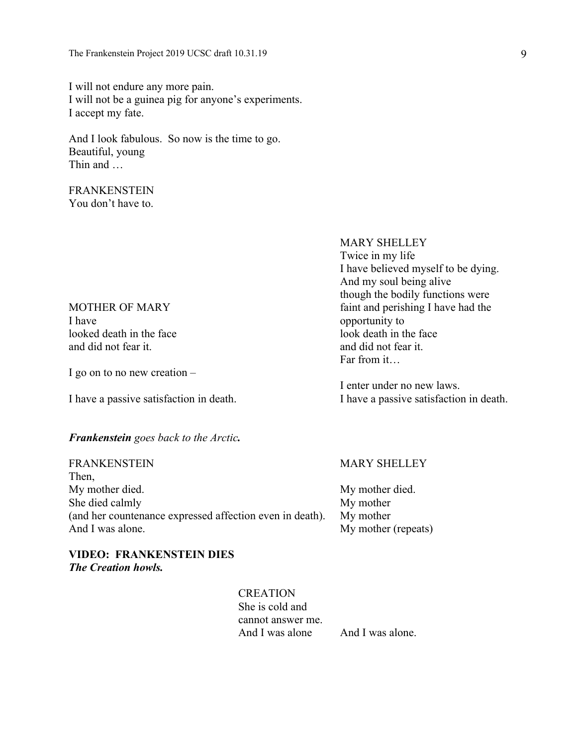I will not endure any more pain. I will not be a guinea pig for anyone's experiments. I accept my fate.

And I look fabulous. So now is the time to go. Beautiful, young Thin and …

#### FRANKENSTEIN You don't have to.

## I have <br>looked death in the face looked death in the face looked death in the face looked death in the face and did not fear it. And did not fear it.

I go on to no new creation  $-$ 

#### *Frankenstein goes back to the Arctic.*

Then, My mother died. My mother died. She died calmly My mother (and her countenance expressed affection even in death). My mother And I was alone. My mother (repeats)

#### **VIDEO: FRANKENSTEIN DIES** *The Creation howls.*

**CREATION** She is cold and cannot answer me. And I was alone And I was alone.

#### FRANKENSTEIN MARY SHELLEY

Twice in my life I have believed myself to be dying. And my soul being alive though the bodily functions were MOTHER OF MARY **faint and perishing I have had the** Far from it…

I enter under no new laws. I have a passive satisfaction in death. I have a passive satisfaction in death.

MARY SHELLEY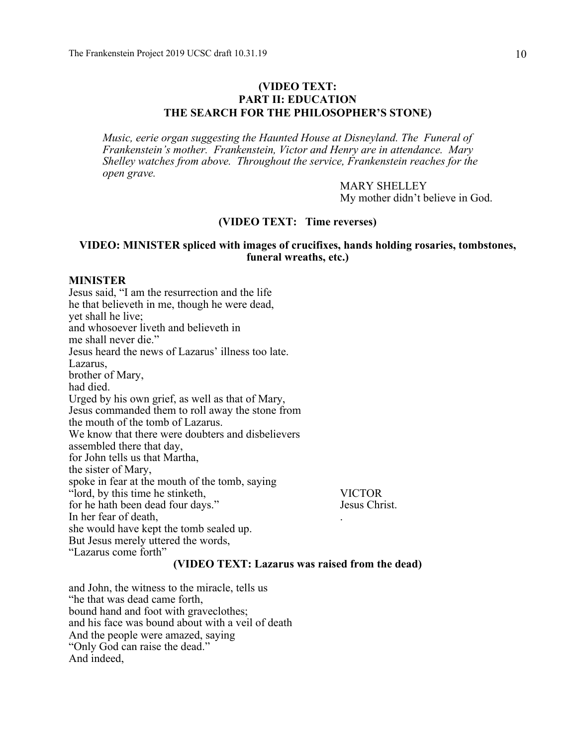#### **(VIDEO TEXT: PART II: EDUCATION THE SEARCH FOR THE PHILOSOPHER'S STONE)**

*Music, eerie organ suggesting the Haunted House at Disneyland. The Funeral of Frankenstein's mother. Frankenstein, Victor and Henry are in attendance. Mary Shelley watches from above. Throughout the service, Frankenstein reaches for the open grave.*

> MARY SHELLEY My mother didn't believe in God.

#### **(VIDEO TEXT: Time reverses)**

#### **VIDEO: MINISTER spliced with images of crucifixes, hands holding rosaries, tombstones, funeral wreaths, etc.)**

#### **MINISTER**

Jesus said, "I am the resurrection and the life he that believeth in me, though he were dead, yet shall he live; and whosoever liveth and believeth in me shall never die." Jesus heard the news of Lazarus' illness too late. Lazarus, brother of Mary, had died. Urged by his own grief, as well as that of Mary, Jesus commanded them to roll away the stone from the mouth of the tomb of Lazarus. We know that there were doubters and disbelievers assembled there that day, for John tells us that Martha, the sister of Mary, spoke in fear at the mouth of the tomb, saying "lord, by this time he stinketh, VICTOR for he hath been dead four days." Jesus Christ. In her fear of death, she would have kept the tomb sealed up. But Jesus merely uttered the words, "Lazarus come forth"

#### **(VIDEO TEXT: Lazarus was raised from the dead)**

and John, the witness to the miracle, tells us "he that was dead came forth, bound hand and foot with graveclothes; and his face was bound about with a veil of death And the people were amazed, saying "Only God can raise the dead." And indeed,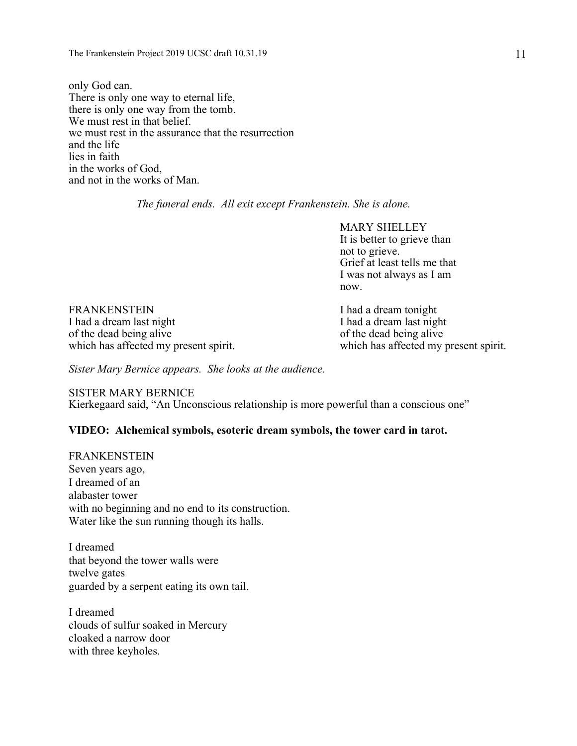only God can. There is only one way to eternal life, there is only one way from the tomb. We must rest in that belief. we must rest in the assurance that the resurrection and the life lies in faith in the works of God, and not in the works of Man.

*The funeral ends. All exit except Frankenstein. She is alone.*

MARY SHELLEY It is better to grieve than not to grieve. Grief at least tells me that I was not always as I am now.

FRANKENSTEIN I had a dream tonight I had a dream last night I had a dream last night of the dead being alive<br>which has affected my present spirit.<br>which has affected my present spirit. which has affected my present spirit.

*Sister Mary Bernice appears. She looks at the audience.*

SISTER MARY BERNICE Kierkegaard said, "An Unconscious relationship is more powerful than a conscious one"

#### **VIDEO: Alchemical symbols, esoteric dream symbols, the tower card in tarot.**

FRANKENSTEIN Seven years ago, I dreamed of an alabaster tower with no beginning and no end to its construction. Water like the sun running though its halls.

I dreamed that beyond the tower walls were twelve gates guarded by a serpent eating its own tail.

I dreamed clouds of sulfur soaked in Mercury cloaked a narrow door with three keyholes.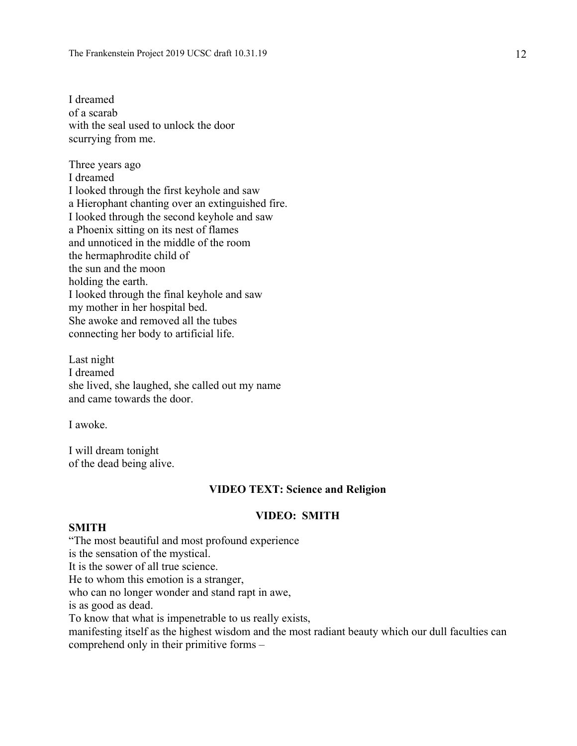I dreamed of a scarab with the seal used to unlock the door scurrying from me.

Three years ago I dreamed I looked through the first keyhole and saw a Hierophant chanting over an extinguished fire. I looked through the second keyhole and saw a Phoenix sitting on its nest of flames and unnoticed in the middle of the room the hermaphrodite child of the sun and the moon holding the earth. I looked through the final keyhole and saw my mother in her hospital bed. She awoke and removed all the tubes connecting her body to artificial life.

Last night I dreamed she lived, she laughed, she called out my name and came towards the door.

I awoke.

I will dream tonight of the dead being alive.

#### **VIDEO TEXT: Science and Religion**

#### **VIDEO: SMITH**

#### **SMITH**

"The most beautiful and most profound experience is the sensation of the mystical. It is the sower of all true science. He to whom this emotion is a stranger, who can no longer wonder and stand rapt in awe, is as good as dead. To know that what is impenetrable to us really exists, manifesting itself as the highest wisdom and the most radiant beauty which our dull faculties can comprehend only in their primitive forms –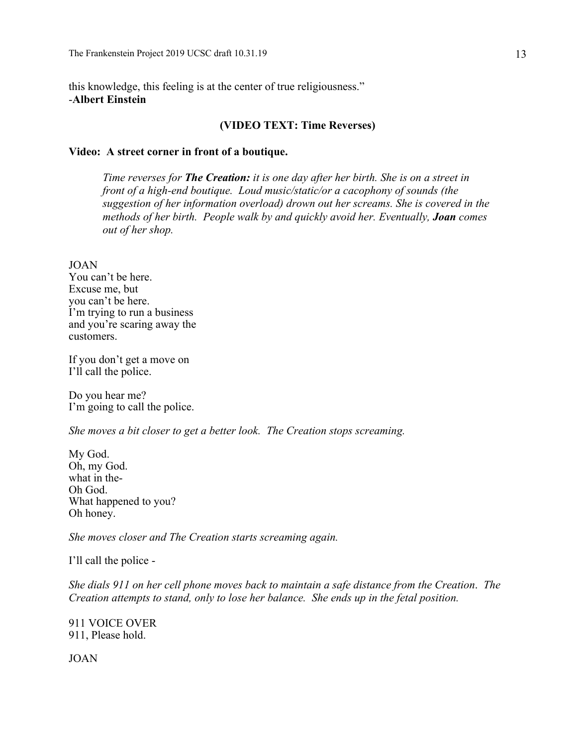this knowledge, this feeling is at the center of true religiousness." -**Albert Einstein**

#### **(VIDEO TEXT: Time Reverses)**

#### **Video: A street corner in front of a boutique.**

*Time reverses for The Creation: it is one day after her birth. She is on a street in front of a high-end boutique. Loud music/static/or a cacophony of sounds (the suggestion of her information overload) drown out her screams. She is covered in the methods of her birth. People walk by and quickly avoid her. Eventually, Joan comes out of her shop.*

JOAN

You can't be here. Excuse me, but you can't be here. I'm trying to run a business and you're scaring away the customers.

If you don't get a move on I'll call the police.

Do you hear me? I'm going to call the police.

*She moves a bit closer to get a better look. The Creation stops screaming.*

My God. Oh, my God. what in the-Oh God. What happened to you? Oh honey.

*She moves closer and The Creation starts screaming again.*

I'll call the police -

*She dials 911 on her cell phone moves back to maintain a safe distance from the Creation*. *The Creation attempts to stand, only to lose her balance. She ends up in the fetal position.*

911 VOICE OVER 911, Please hold.

JOAN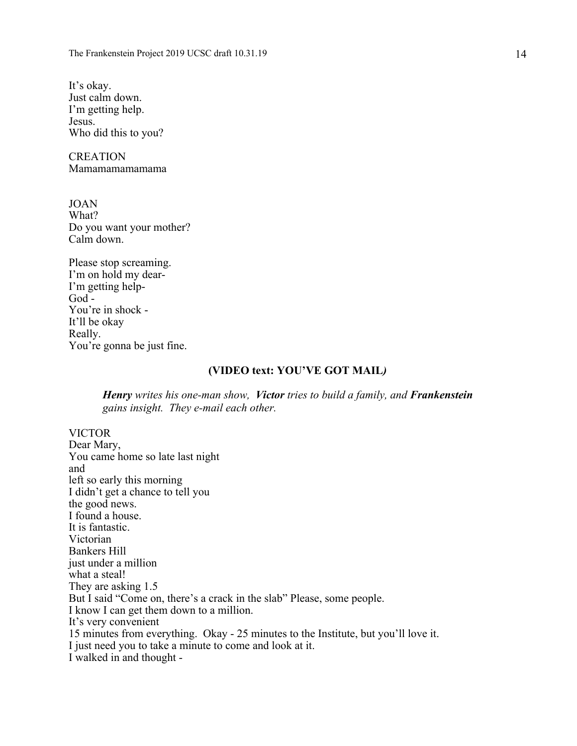It's okay. Just calm down. I'm getting help. Jesus. Who did this to you?

**CREATION** Mamamamamamama

JOAN What? Do you want your mother? Calm down.

Please stop screaming. I'm on hold my dear-I'm getting help-God - You're in shock - It'll be okay Really. You're gonna be just fine.

#### **(VIDEO text: YOU'VE GOT MAIL***)*

*Henry writes his one-man show, Victor tries to build a family, and Frankenstein gains insight. They e-mail each other.*

VICTOR Dear Mary, You came home so late last night and left so early this morning I didn't get a chance to tell you the good news. I found a house. It is fantastic. Victorian Bankers Hill just under a million what a steal! They are asking 1.5 But I said "Come on, there's a crack in the slab" Please, some people. I know I can get them down to a million. It's very convenient 15 minutes from everything. Okay - 25 minutes to the Institute, but you'll love it. I just need you to take a minute to come and look at it. I walked in and thought -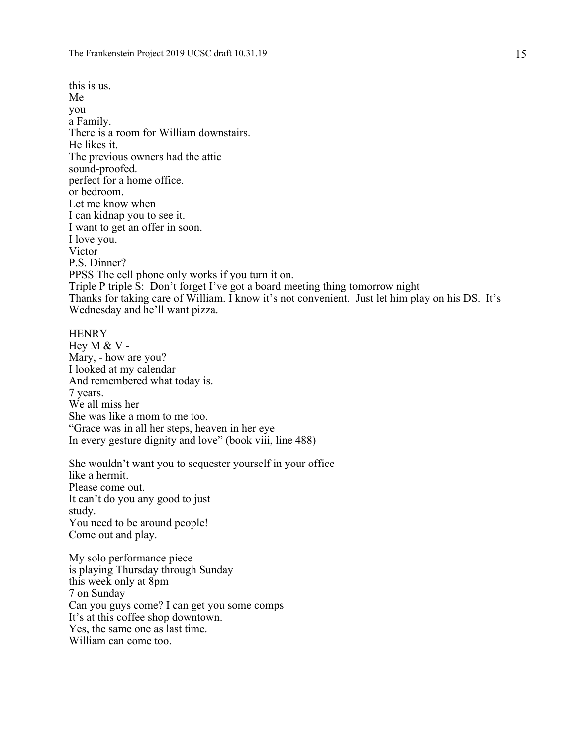this is us. Me you a Family. There is a room for William downstairs. He likes it. The previous owners had the attic sound-proofed. perfect for a home office. or bedroom. Let me know when I can kidnap you to see it. I want to get an offer in soon. I love you. **Victor** P.S. Dinner? PPSS The cell phone only works if you turn it on. Triple P triple S: Don't forget I've got a board meeting thing tomorrow night Thanks for taking care of William. I know it's not convenient. Just let him play on his DS. It's Wednesday and he'll want pizza.

#### **HENRY**

Hey M & V - Mary, - how are you? I looked at my calendar And remembered what today is. 7 years. We all miss her She was like a mom to me too. "Grace was in all her steps, heaven in her eye In every gesture dignity and love" (book viii, line 488)

She wouldn't want you to sequester yourself in your office like a hermit. Please come out. It can't do you any good to just study. You need to be around people! Come out and play.

My solo performance piece is playing Thursday through Sunday this week only at 8pm 7 on Sunday Can you guys come? I can get you some comps It's at this coffee shop downtown. Yes, the same one as last time. William can come too.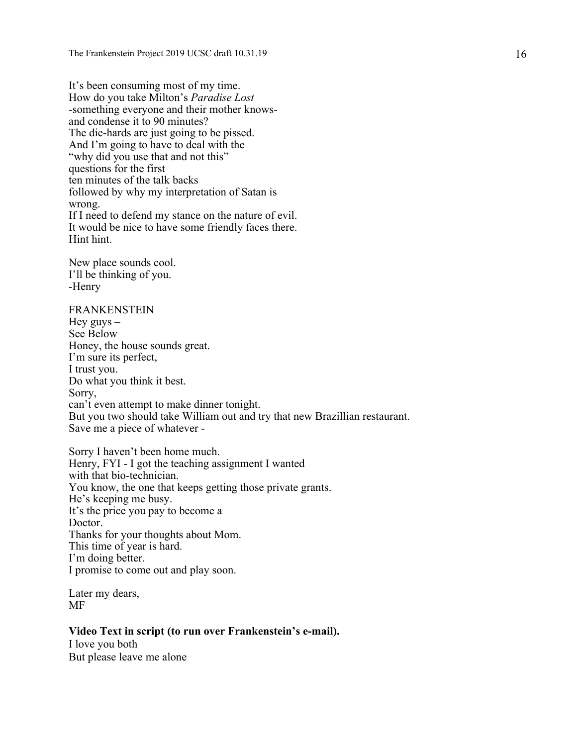It's been consuming most of my time. How do you take Milton's *Paradise Lost* -something everyone and their mother knowsand condense it to 90 minutes? The die-hards are just going to be pissed. And I'm going to have to deal with the "why did you use that and not this" questions for the first ten minutes of the talk backs followed by why my interpretation of Satan is wrong. If I need to defend my stance on the nature of evil. It would be nice to have some friendly faces there. Hint hint.

New place sounds cool. I'll be thinking of you. -Henry

FRANKENSTEIN Hey guys  $-$ See Below Honey, the house sounds great. I'm sure its perfect, I trust you. Do what you think it best. Sorry, can't even attempt to make dinner tonight. But you two should take William out and try that new Brazillian restaurant. Save me a piece of whatever -

Sorry I haven't been home much. Henry, FYI - I got the teaching assignment I wanted with that bio-technician. You know, the one that keeps getting those private grants. He's keeping me busy. It's the price you pay to become a Doctor. Thanks for your thoughts about Mom. This time of year is hard. I'm doing better. I promise to come out and play soon.

Later my dears, MF

#### **Video Text in script (to run over Frankenstein's e-mail).**

I love you both But please leave me alone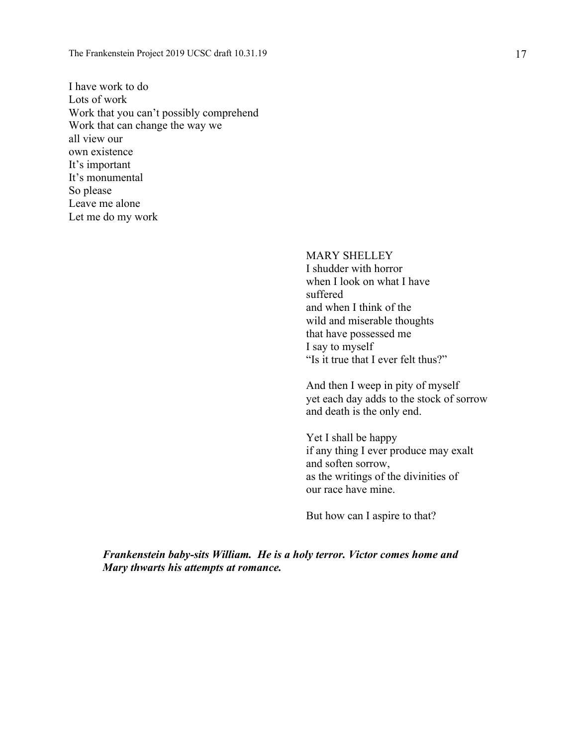I have work to do Lots of work Work that you can't possibly comprehend Work that can change the way we all view our own existence It's important It's monumental So please Leave me alone Let me do my work

> MARY SHELLEY I shudder with horror when I look on what I have suffered and when I think of the wild and miserable thoughts that have possessed me I say to myself "Is it true that I ever felt thus?"

And then I weep in pity of myself yet each day adds to the stock of sorrow and death is the only end.

Yet I shall be happy if any thing I ever produce may exalt and soften sorrow, as the writings of the divinities of our race have mine.

But how can I aspire to that?

*Frankenstein baby-sits William. He is a holy terror. Victor comes home and Mary thwarts his attempts at romance.*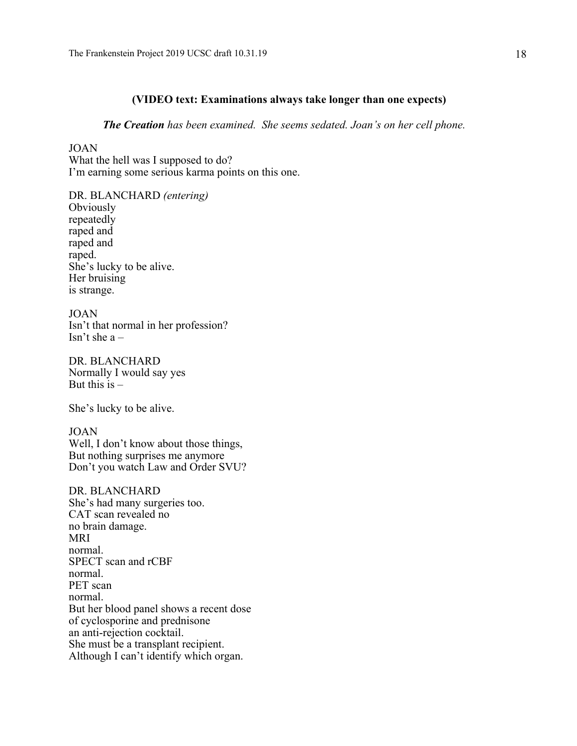#### **(VIDEO text: Examinations always take longer than one expects)**

*The Creation has been examined. She seems sedated. Joan's on her cell phone.* 

#### JOAN

What the hell was I supposed to do? I'm earning some serious karma points on this one.

DR. BLANCHARD *(entering)* **Obviously** repeatedly raped and raped and raped. She's lucky to be alive. Her bruising is strange.

JOAN Isn't that normal in her profession? Isn't she a –

DR. BLANCHARD Normally I would say yes But this  $is -$ 

She's lucky to be alive.

JOAN Well, I don't know about those things, But nothing surprises me anymore Don't you watch Law and Order SVU?

DR. BLANCHARD She's had many surgeries too. CAT scan revealed no no brain damage. MRI normal. SPECT scan and rCBF normal. PET scan normal. But her blood panel shows a recent dose of cyclosporine and prednisone an anti-rejection cocktail. She must be a transplant recipient. Although I can't identify which organ.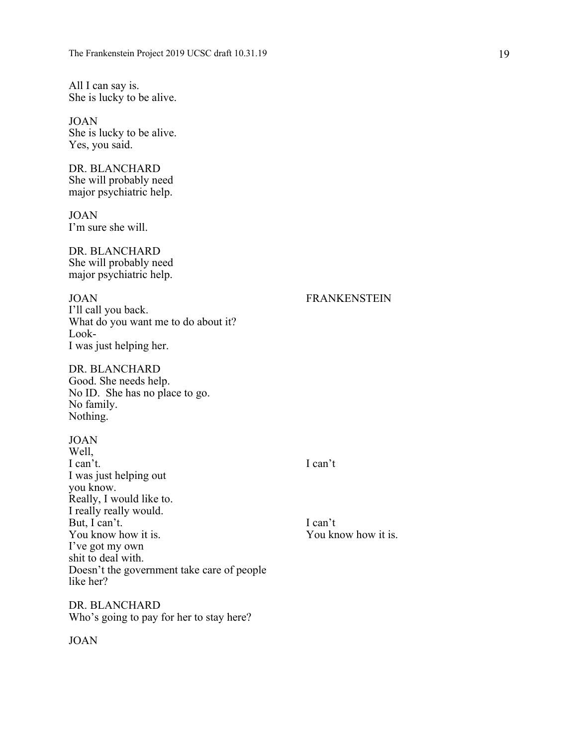All I can say is. She is lucky to be alive.

JOAN She is lucky to be alive. Yes, you said.

DR. BLANCHARD She will probably need major psychiatric help.

JOAN I'm sure she will.

DR. BLANCHARD She will probably need major psychiatric help.

JOAN FRANKENSTEIN I'll call you back. What do you want me to do about it? Look-I was just helping her.

DR. BLANCHARD Good. She needs help. No ID. She has no place to go. No family. Nothing.

JOAN Well, I can't. I can't I was just helping out you know. Really, I would like to. I really really would. But, I can't.<br>
You know how it is.<br>
You know how it is.<br>
You know how it is. You know how it is. I've got my own shit to deal with. Doesn't the government take care of people like her?

DR. BLANCHARD Who's going to pay for her to stay here?

#### JOAN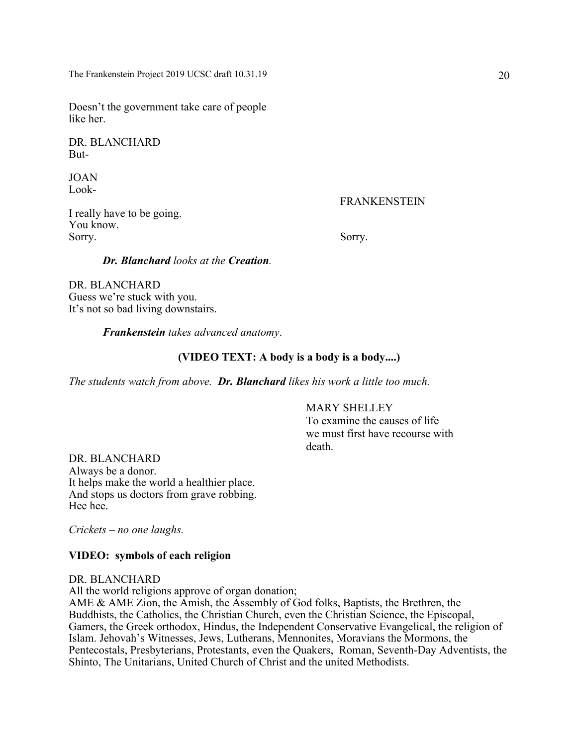Doesn't the government take care of people like her.

DR. BLANCHARD But-

JOAN Look-

FRANKENSTEIN

I really have to be going. You know. Sorry. Sorry.

#### *Dr. Blanchard looks at the Creation.*

DR. BLANCHARD Guess we're stuck with you. It's not so bad living downstairs.

*Frankenstein takes advanced anatomy*.

#### **(VIDEO TEXT: A body is a body is a body....)**

*The students watch from above. Dr. Blanchard likes his work a little too much.*

#### MARY SHELLEY

To examine the causes of life we must first have recourse with death.

DR. BLANCHARD Always be a donor. It helps make the world a healthier place. And stops us doctors from grave robbing. Hee hee.

*Crickets – no one laughs.*

#### **VIDEO: symbols of each religion**

#### DR. BLANCHARD

All the world religions approve of organ donation;

AME & AME Zion, the Amish, the Assembly of God folks, Baptists, the Brethren, the Buddhists, the Catholics, the Christian Church, even the Christian Science, the Episcopal, Gamers, the Greek orthodox, Hindus, the Independent Conservative Evangelical, the religion of Islam. Jehovah's Witnesses, Jews, Lutherans, Mennonites, Moravians the Mormons, the Pentecostals, Presbyterians, Protestants, even the Quakers, Roman, Seventh-Day Adventists, the Shinto, The Unitarians, United Church of Christ and the united Methodists.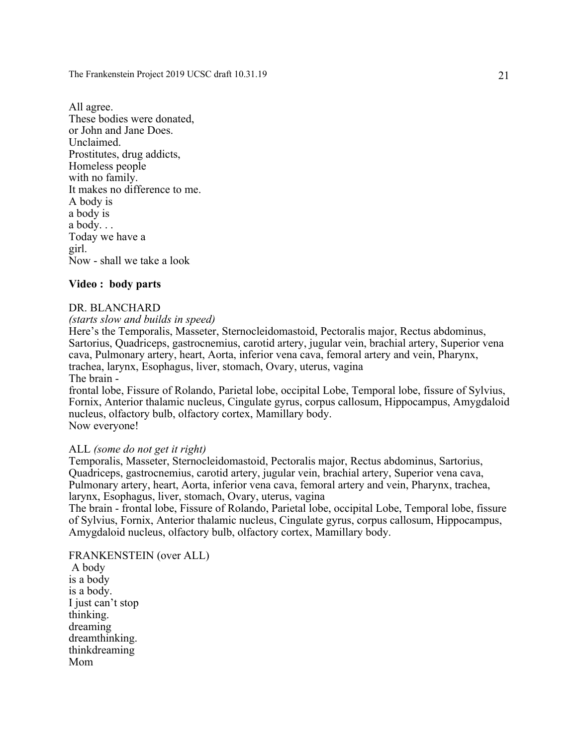All agree. These bodies were donated, or John and Jane Does. Unclaimed. Prostitutes, drug addicts, Homeless people with no family. It makes no difference to me. A body is a body is a body. . . Today we have a girl. Now - shall we take a look

#### **Video : body parts**

#### DR. BLANCHARD

*(starts slow and builds in speed)*

Here's the Temporalis, Masseter, Sternocleidomastoid, Pectoralis major, Rectus abdominus, Sartorius, Quadriceps, gastrocnemius, carotid artery, jugular vein, brachial artery, Superior vena cava, Pulmonary artery, heart, Aorta, inferior vena cava, femoral artery and vein, Pharynx, trachea, larynx, Esophagus, liver, stomach, Ovary, uterus, vagina The brain -

frontal lobe, Fissure of Rolando, Parietal lobe, occipital Lobe, Temporal lobe, fissure of Sylvius, Fornix, Anterior thalamic nucleus, Cingulate gyrus, corpus callosum, Hippocampus, Amygdaloid nucleus, olfactory bulb, olfactory cortex, Mamillary body. Now everyone!

#### ALL *(some do not get it right)*

Temporalis, Masseter, Sternocleidomastoid, Pectoralis major, Rectus abdominus, Sartorius, Quadriceps, gastrocnemius, carotid artery, jugular vein, brachial artery, Superior vena cava, Pulmonary artery, heart, Aorta, inferior vena cava, femoral artery and vein, Pharynx, trachea, larynx, Esophagus, liver, stomach, Ovary, uterus, vagina

The brain - frontal lobe, Fissure of Rolando, Parietal lobe, occipital Lobe, Temporal lobe, fissure of Sylvius, Fornix, Anterior thalamic nucleus, Cingulate gyrus, corpus callosum, Hippocampus, Amygdaloid nucleus, olfactory bulb, olfactory cortex, Mamillary body.

FRANKENSTEIN (over ALL) A body is a body is a body. I just can't stop thinking. dreaming dreamthinking. thinkdreaming Mom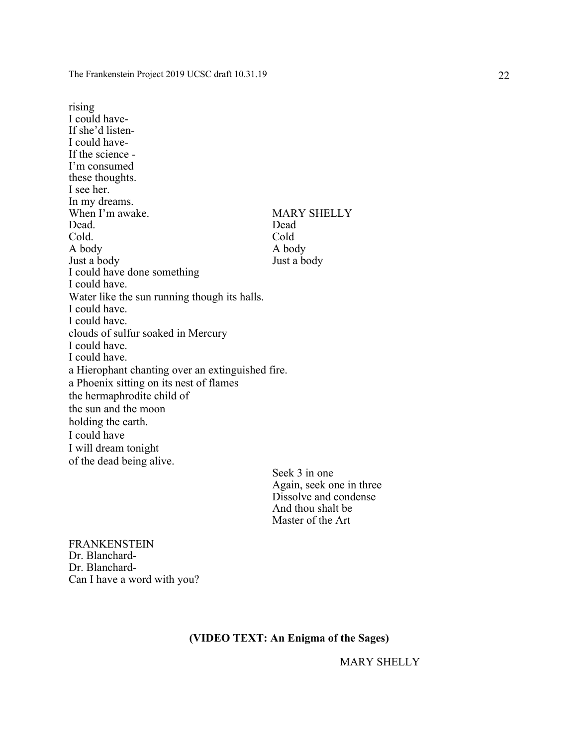rising I could have-If she'd listen-I could have-If the science - I'm consumed these thoughts. I see her. In my dreams. When I'm awake. MARY SHELLY Dead. Dead Cold. Cold A body<br>
Just a body<br>
Just a body<br>
A body<br>
A body<br>
A body Just a body I could have done something I could have. Water like the sun running though its halls. I could have. I could have. clouds of sulfur soaked in Mercury I could have. I could have. a Hierophant chanting over an extinguished fire. a Phoenix sitting on its nest of flames the hermaphrodite child of the sun and the moon holding the earth. I could have I will dream tonight of the dead being alive.

> Seek 3 in one Again, seek one in three Dissolve and condense And thou shalt be Master of the Art

FRANKENSTEIN Dr. Blanchard-Dr. Blanchard-Can I have a word with you?

#### **(VIDEO TEXT: An Enigma of the Sages)**

MARY SHELLY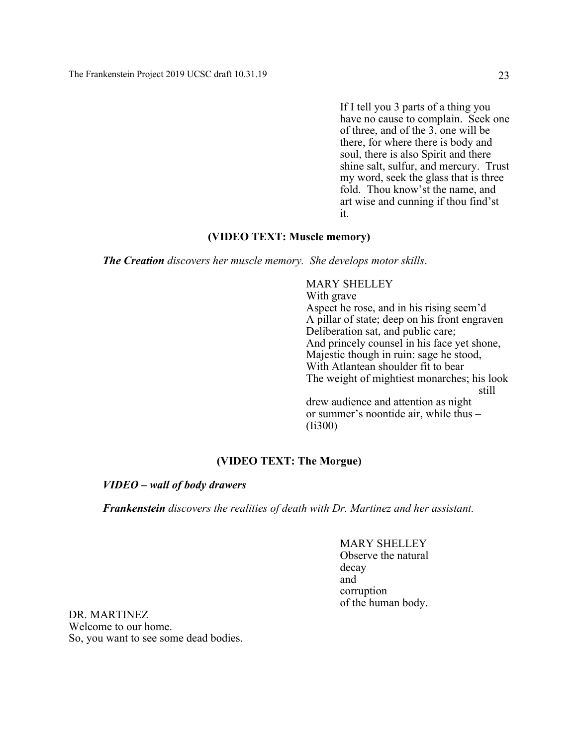If I tell you 3 parts of a thing you have no cause to complain. Seek one of three, and of the 3, one will be there, for where there is body and soul, there is also Spirit and there shine salt, sulfur, and mercury. Trust my word, seek the glass that is three fold. Thou know'st the name, and art wise and cunning if thou find'st it.

#### **(VIDEO TEXT: Muscle memory)**

*The Creation discovers her muscle memory. She develops motor skills*.

#### MARY SHELLEY

With grave Aspect he rose, and in his rising seem'd A pillar of state; deep on his front engraven Deliberation sat, and public care; And princely counsel in his face yet shone, Majestic though in ruin: sage he stood, With Atlantean shoulder fit to bear The weight of mightiest monarches; his look still drew audience and attention as night or summer's noontide air, while thus – (Ii300)

#### **(VIDEO TEXT: The Morgue)**

#### *VIDEO – wall of body drawers*

*Frankenstein discovers the realities of death with Dr. Martinez and her assistant.*

MARY SHELLEY Observe the natural decay and corruption of the human body.

DR. MARTINEZ Welcome to our home. So, you want to see some dead bodies.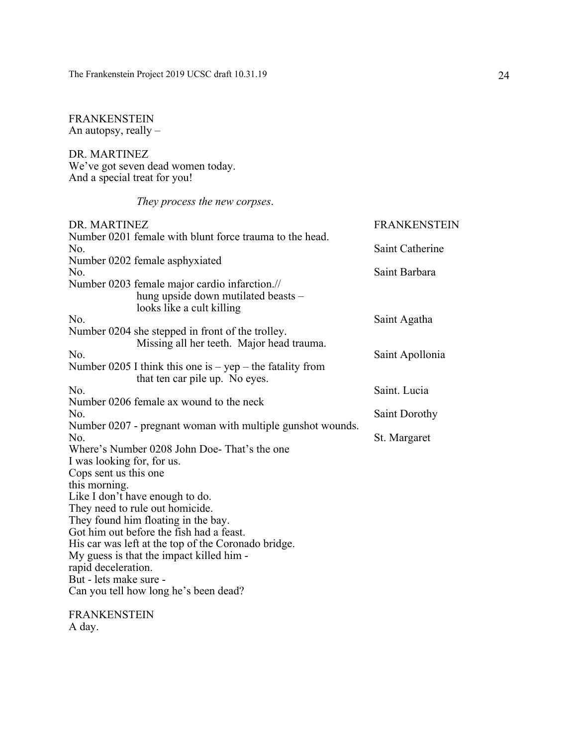#### FRANKENSTEIN An autopsy, really –

DR. MARTINEZ We've got seven dead women today. And a special treat for you!

### *They process the new corpses*.

| DR. MARTINEZ                                                                                                      | <b>FRANKENSTEIN</b>  |
|-------------------------------------------------------------------------------------------------------------------|----------------------|
| Number 0201 female with blunt force trauma to the head.                                                           |                      |
| No.                                                                                                               | Saint Catherine      |
| Number 0202 female asphyxiated                                                                                    |                      |
| No.                                                                                                               | Saint Barbara        |
| Number 0203 female major cardio infarction.//<br>hung upside down mutilated beasts -<br>looks like a cult killing |                      |
| No.                                                                                                               | Saint Agatha         |
| Number 0204 she stepped in front of the trolley.<br>Missing all her teeth. Major head trauma.                     |                      |
| No.                                                                                                               | Saint Apollonia      |
| Number 0205 I think this one is $-$ yep $-$ the fatality from                                                     |                      |
| that ten car pile up. No eyes.                                                                                    |                      |
| No.                                                                                                               | Saint. Lucia         |
| Number 0206 female ax wound to the neck                                                                           |                      |
| No.                                                                                                               | <b>Saint Dorothy</b> |
| Number 0207 - pregnant woman with multiple gunshot wounds.                                                        |                      |
| No.                                                                                                               | St. Margaret         |
| Where's Number 0208 John Doe-That's the one                                                                       |                      |
| I was looking for, for us.                                                                                        |                      |
| Cops sent us this one                                                                                             |                      |
| this morning.                                                                                                     |                      |
| Like I don't have enough to do.                                                                                   |                      |
| They need to rule out homicide.                                                                                   |                      |
| They found him floating in the bay.                                                                               |                      |
| Got him out before the fish had a feast.                                                                          |                      |
| His car was left at the top of the Coronado bridge.                                                               |                      |
| My guess is that the impact killed him -                                                                          |                      |
| rapid deceleration.                                                                                               |                      |
| But - lets make sure -                                                                                            |                      |
| Can you tell how long he's been dead?                                                                             |                      |
| <b>FRANKENSTEIN</b>                                                                                               |                      |

A day.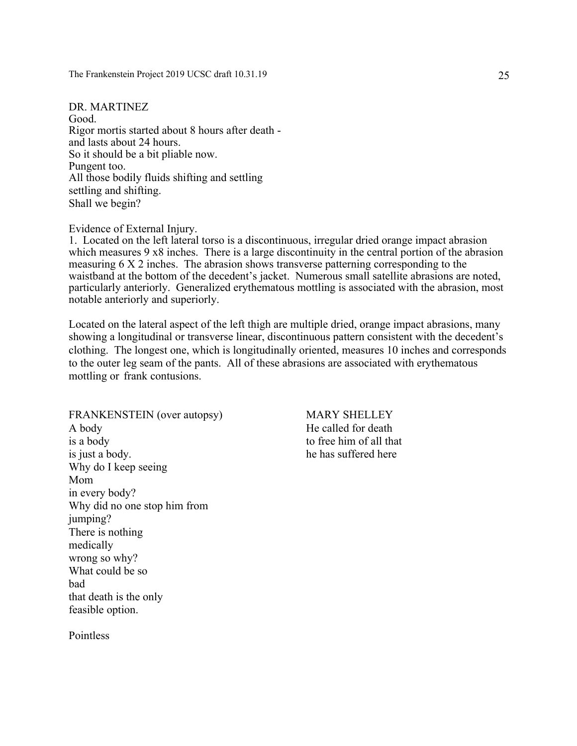DR. MARTINEZ Good. Rigor mortis started about 8 hours after death and lasts about 24 hours. So it should be a bit pliable now. Pungent too. All those bodily fluids shifting and settling settling and shifting. Shall we begin?

#### Evidence of External Injury.

1. Located on the left lateral torso is a discontinuous, irregular dried orange impact abrasion which measures 9 x8 inches. There is a large discontinuity in the central portion of the abrasion measuring 6 X 2 inches. The abrasion shows transverse patterning corresponding to the waistband at the bottom of the decedent's jacket. Numerous small satellite abrasions are noted, particularly anteriorly. Generalized erythematous mottling is associated with the abrasion, most notable anteriorly and superiorly.

Located on the lateral aspect of the left thigh are multiple dried, orange impact abrasions, many showing a longitudinal or transverse linear, discontinuous pattern consistent with the decedent's clothing. The longest one, which is longitudinally oriented, measures 10 inches and corresponds to the outer leg seam of the pants. All of these abrasions are associated with erythematous mottling or frank contusions.

FRANKENSTEIN (over autopsy) MARY SHELLEY A body He called for death is a body to free him of all that is just a body. he has suffered here Why do I keep seeing Mom in every body? Why did no one stop him from jumping? There is nothing medically wrong so why? What could be so bad that death is the only feasible option.

Pointless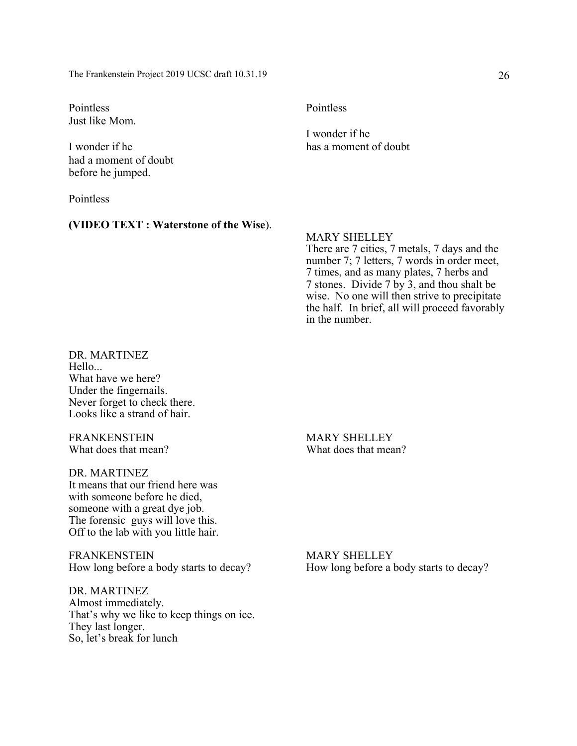Pointless Pointless Just like Mom.

had a moment of doubt before he jumped.

Pointless

#### **(VIDEO TEXT : Waterstone of the Wise**).

I wonder if he I wonder if he has a moment of doubt

#### MARY SHELLEY

There are 7 cities, 7 metals, 7 days and the number 7; 7 letters, 7 words in order meet, 7 times, and as many plates, 7 herbs and 7 stones. Divide 7 by 3, and thou shalt be wise. No one will then strive to precipitate the half. In brief, all will proceed favorably in the number.

DR. MARTINEZ Hello... What have we here? Under the fingernails. Never forget to check there. Looks like a strand of hair.

FRANKENSTEIN MARY SHELLEY

DR. MARTINEZ It means that our friend here was with someone before he died, someone with a great dye job. The forensic guys will love this. Off to the lab with you little hair.

FRANKENSTEIN MARY SHELLEY

DR. MARTINEZ Almost immediately. That's why we like to keep things on ice. They last longer. So, let's break for lunch

What does that mean? What does that mean?

How long before a body starts to decay? How long before a body starts to decay?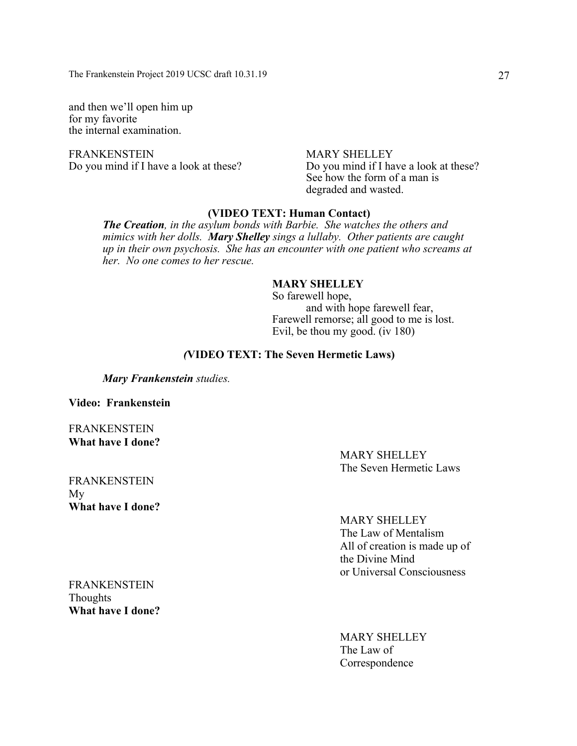and then we'll open him up for my favorite the internal examination.

FRANKENSTEIN MARY SHELLEY<br>Do you mind if I have a look at these? Do you mind if I have

Do you mind if I have a look at these? See how the form of a man is degraded and wasted.

#### **(VIDEO TEXT: Human Contact)**

*The Creation, in the asylum bonds with Barbie. She watches the others and mimics with her dolls. Mary Shelley sings a lullaby. Other patients are caught up in their own psychosis. She has an encounter with one patient who screams at her. No one comes to her rescue.*

#### **MARY SHELLEY**

So farewell hope, and with hope farewell fear, Farewell remorse; all good to me is lost. Evil, be thou my good. (iv 180)

#### *(***VIDEO TEXT: The Seven Hermetic Laws)**

*Mary Frankenstein studies.*

**Video: Frankenstein**

FRANKENSTEIN **What have I done?**

> MARY SHELLEY The Seven Hermetic Laws

FRANKENSTEIN My **What have I done?**

MARY SHELLEY

The Law of Mentalism All of creation is made up of the Divine Mind or Universal Consciousness

FRANKENSTEIN **Thoughts What have I done?**

> MARY SHELLEY The Law of Correspondence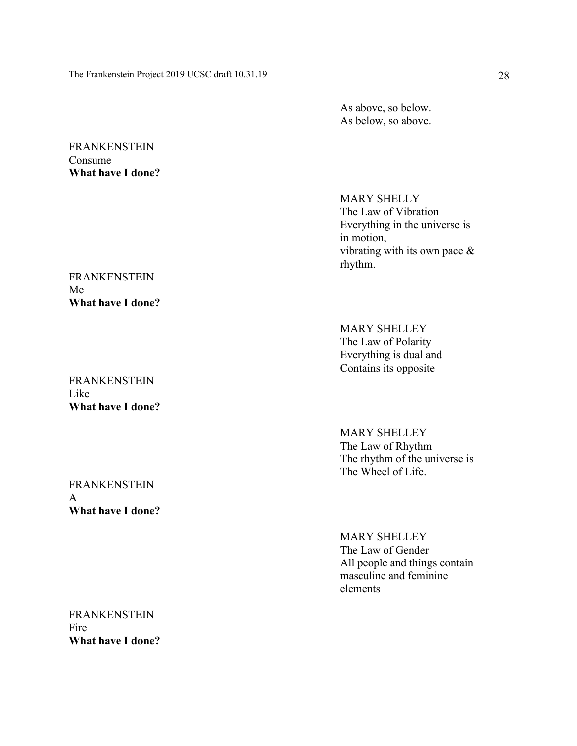As above, so below. As below, so above.

#### **FRANKENSTEIN** Consume **What have I done?**

#### FRANKENSTEIN Me **What have I done?**

FRANKENSTEIN Like **What have I done?**

FRANKENSTEIN A **What have I done?**

MARY SHELLY The Law of Vibration Everything in the universe is in motion, vibrating with its own pace  $\&$ rhythm.

MARY SHELLEY The Law of Polarity Everything is dual and Contains its opposite

MARY SHELLEY The Law of Rhythm The rhythm of the universe is The Wheel of Life.

MARY SHELLEY The Law of Gender All people and things contain masculine and feminine elements

FRANKENSTEIN Fire **What have I done?**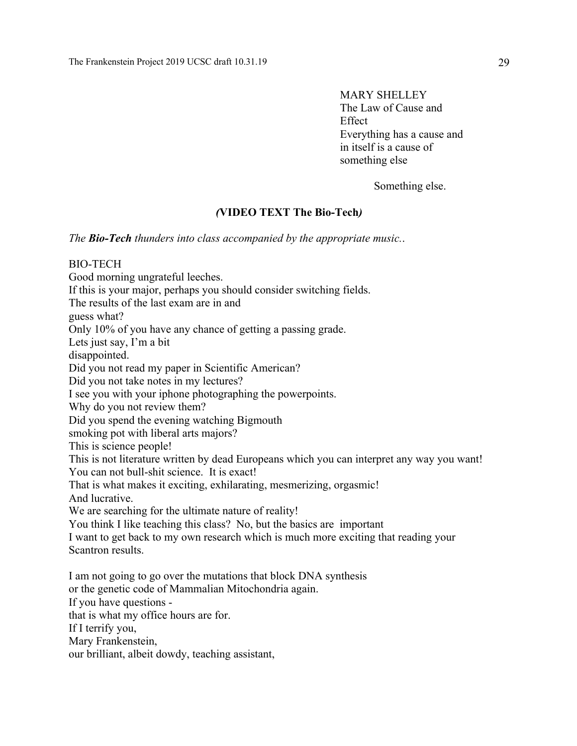MARY SHELLEY The Law of Cause and Effect Everything has a cause and in itself is a cause of something else

Something else.

### *(***VIDEO TEXT The Bio-Tech***)*

*The Bio-Tech thunders into class accompanied by the appropriate music.*.

BIO-TECH Good morning ungrateful leeches. If this is your major, perhaps you should consider switching fields. The results of the last exam are in and guess what? Only 10% of you have any chance of getting a passing grade. Lets just say, I'm a bit disappointed. Did you not read my paper in Scientific American? Did you not take notes in my lectures? I see you with your iphone photographing the powerpoints. Why do you not review them? Did you spend the evening watching Bigmouth smoking pot with liberal arts majors? This is science people! This is not literature written by dead Europeans which you can interpret any way you want! You can not bull-shit science. It is exact! That is what makes it exciting, exhilarating, mesmerizing, orgasmic! And lucrative. We are searching for the ultimate nature of reality! You think I like teaching this class? No, but the basics are important I want to get back to my own research which is much more exciting that reading your Scantron results. I am not going to go over the mutations that block DNA synthesis or the genetic code of Mammalian Mitochondria again. If you have questions that is what my office hours are for. If I terrify you, Mary Frankenstein,

our brilliant, albeit dowdy, teaching assistant,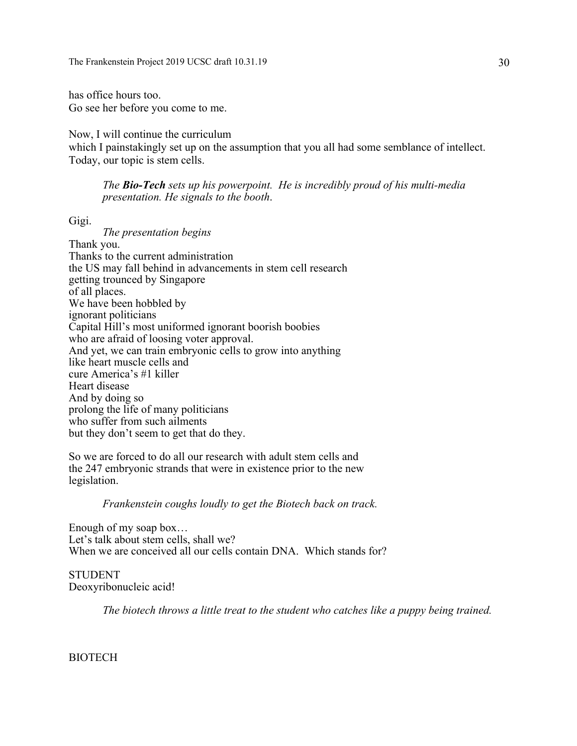has office hours too. Go see her before you come to me.

Now, I will continue the curriculum which I painstakingly set up on the assumption that you all had some semblance of intellect. Today, our topic is stem cells.

*The Bio-Tech sets up his powerpoint. He is incredibly proud of his multi-media presentation. He signals to the booth*.

Gigi.

*The presentation begins* Thank you. Thanks to the current administration the US may fall behind in advancements in stem cell research getting trounced by Singapore of all places. We have been hobbled by ignorant politicians Capital Hill's most uniformed ignorant boorish boobies who are afraid of loosing voter approval. And yet, we can train embryonic cells to grow into anything like heart muscle cells and cure America's #1 killer Heart disease And by doing so prolong the life of many politicians who suffer from such ailments but they don't seem to get that do they.

So we are forced to do all our research with adult stem cells and the 247 embryonic strands that were in existence prior to the new legislation.

#### *Frankenstein coughs loudly to get the Biotech back on track.*

Enough of my soap box… Let's talk about stem cells, shall we? When we are conceived all our cells contain DNA. Which stands for?

STUDENT Deoxyribonucleic acid!

*The biotech throws a little treat to the student who catches like a puppy being trained.*

**BIOTECH**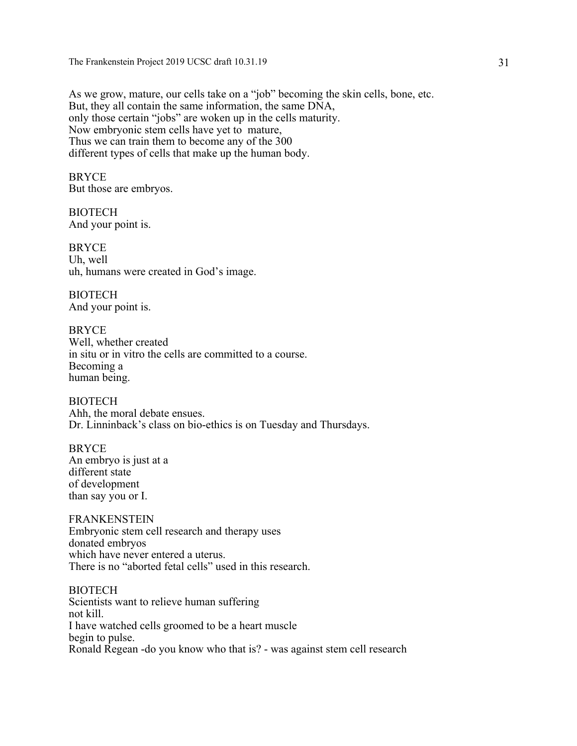As we grow, mature, our cells take on a "job" becoming the skin cells, bone, etc. But, they all contain the same information, the same DNA, only those certain "jobs" are woken up in the cells maturity. Now embryonic stem cells have yet to mature, Thus we can train them to become any of the 300 different types of cells that make up the human body.

BRYCE But those are embryos.

**BIOTECH** And your point is.

BRYCE Uh, well uh, humans were created in God's image.

BIOTECH And your point is.

BRYCE Well, whether created in situ or in vitro the cells are committed to a course. Becoming a human being.

**BIOTECH** Ahh, the moral debate ensues. Dr. Linninback's class on bio-ethics is on Tuesday and Thursdays.

BRYCE An embryo is just at a different state of development than say you or I.

FRANKENSTEIN Embryonic stem cell research and therapy uses donated embryos which have never entered a uterus. There is no "aborted fetal cells" used in this research.

**BIOTECH** Scientists want to relieve human suffering not kill. I have watched cells groomed to be a heart muscle begin to pulse. Ronald Regean -do you know who that is? - was against stem cell research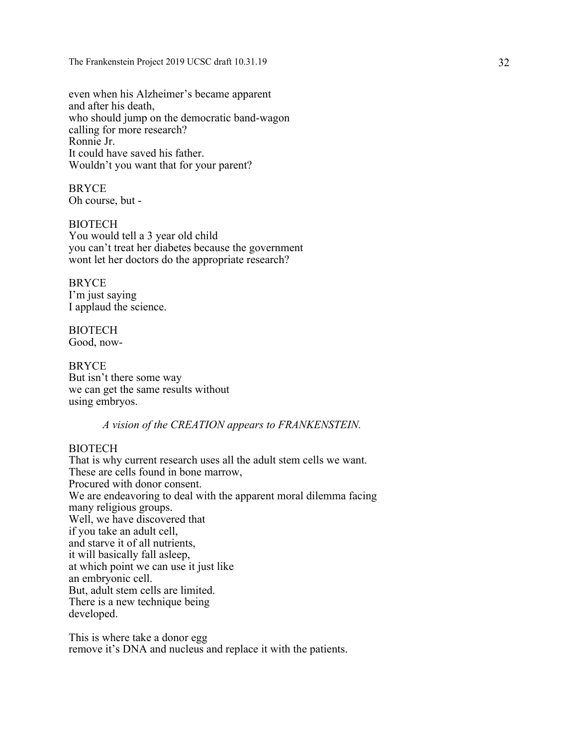even when his Alzheimer's became apparent and after his death, who should jump on the democratic band-wagon calling for more research? Ronnie Jr. It could have saved his father. Wouldn't you want that for your parent?

BRYCE Oh course, but -

**BIOTECH** You would tell a 3 year old child you can't treat her diabetes because the government wont let her doctors do the appropriate research?

BRYCE I'm just saying I applaud the science.

BIOTECH Good, now-

**BRYCE** But isn't there some way we can get the same results without using embryos.

*A vision of the CREATION appears to FRANKENSTEIN.*

#### **BIOTECH**

That is why current research uses all the adult stem cells we want. These are cells found in bone marrow, Procured with donor consent. We are endeavoring to deal with the apparent moral dilemma facing many religious groups. Well, we have discovered that if you take an adult cell, and starve it of all nutrients, it will basically fall asleep, at which point we can use it just like an embryonic cell. But, adult stem cells are limited. There is a new technique being developed.

This is where take a donor egg remove it's DNA and nucleus and replace it with the patients.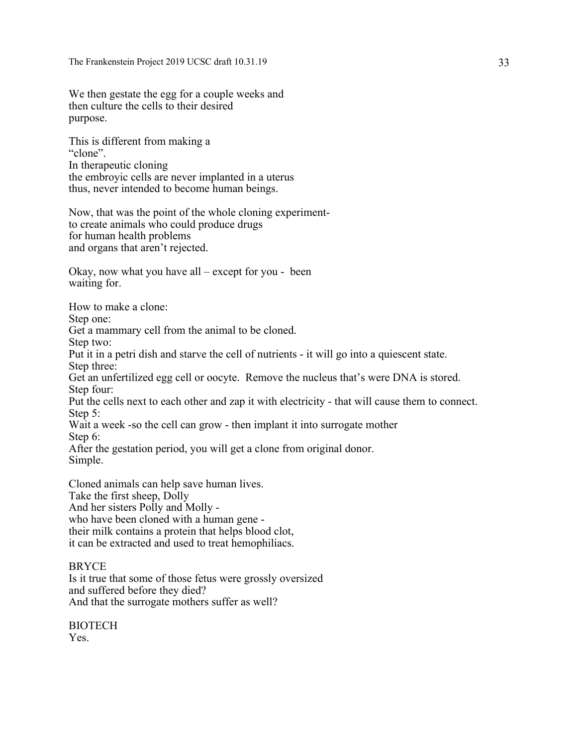We then gestate the egg for a couple weeks and then culture the cells to their desired purpose.

This is different from making a "clone". In therapeutic cloning the embroyic cells are never implanted in a uterus thus, never intended to become human beings.

Now, that was the point of the whole cloning experimentto create animals who could produce drugs for human health problems and organs that aren't rejected.

Okay, now what you have all – except for you - been waiting for.

How to make a clone:

Step one:

Get a mammary cell from the animal to be cloned.

Step two:

Put it in a petri dish and starve the cell of nutrients - it will go into a quiescent state.

Step three:

Get an unfertilized egg cell or oocyte. Remove the nucleus that's were DNA is stored. Step four:

Put the cells next to each other and zap it with electricity - that will cause them to connect. Step 5:

Wait a week -so the cell can grow - then implant it into surrogate mother Step 6:

After the gestation period, you will get a clone from original donor. Simple.

Cloned animals can help save human lives. Take the first sheep, Dolly And her sisters Polly and Molly who have been cloned with a human gene their milk contains a protein that helps blood clot, it can be extracted and used to treat hemophiliacs.

#### **BRYCE**

Is it true that some of those fetus were grossly oversized and suffered before they died? And that the surrogate mothers suffer as well?

BIOTECH Yes.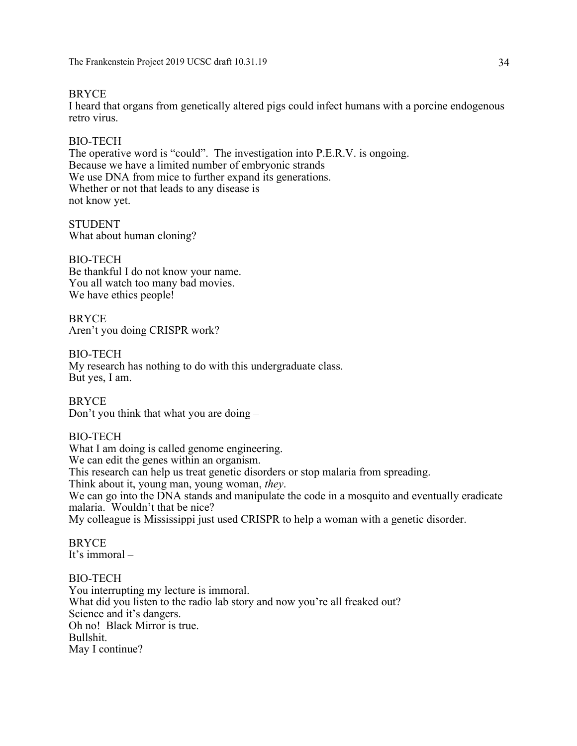#### BRYCE

I heard that organs from genetically altered pigs could infect humans with a porcine endogenous retro virus.

#### BIO-TECH

The operative word is "could". The investigation into P.E.R.V. is ongoing. Because we have a limited number of embryonic strands We use DNA from mice to further expand its generations. Whether or not that leads to any disease is not know yet.

STUDENT What about human cloning?

BIO-TECH Be thankful I do not know your name. You all watch too many bad movies. We have ethics people!

**BRYCE** Aren't you doing CRISPR work?

BIO-TECH My research has nothing to do with this undergraduate class. But yes, I am.

**BRYCE** Don't you think that what you are doing –

#### BIO-TECH

What I am doing is called genome engineering. We can edit the genes within an organism. This research can help us treat genetic disorders or stop malaria from spreading. Think about it, young man, young woman, *they*. We can go into the DNA stands and manipulate the code in a mosquito and eventually eradicate malaria. Wouldn't that be nice? My colleague is Mississippi just used CRISPR to help a woman with a genetic disorder.

BRYCE It's immoral –

#### BIO-TECH

You interrupting my lecture is immoral. What did you listen to the radio lab story and now you're all freaked out? Science and it's dangers. Oh no! Black Mirror is true. Bullshit. May I continue?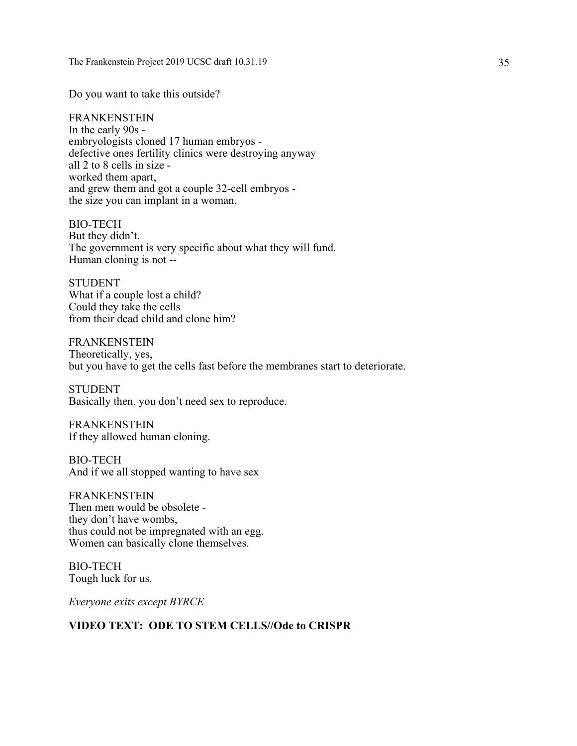Do you want to take this outside?

FRANKENSTEIN In the early 90s embryologists cloned 17 human embryos defective ones fertility clinics were destroying anyway all 2 to 8 cells in size worked them apart, and grew them and got a couple 32-cell embryos the size you can implant in a woman.

BIO-TECH But they didn't. The government is very specific about what they will fund. Human cloning is not --

STUDENT What if a couple lost a child? Could they take the cells from their dead child and clone him?

FRANKENSTEIN Theoretically, yes, but you have to get the cells fast before the membranes start to deteriorate.

**STUDENT** Basically then, you don't need sex to reproduce.

FRANKENSTEIN If they allowed human cloning.

BIO-TECH And if we all stopped wanting to have sex

**FRANKENSTEIN** Then men would be obsolete they don't have wombs, thus could not be impregnated with an egg. Women can basically clone themselves.

BIO-TECH Tough luck for us.

*Everyone exits except BYRCE*

#### **VIDEO TEXT: ODE TO STEM CELLS//Ode to CRISPR**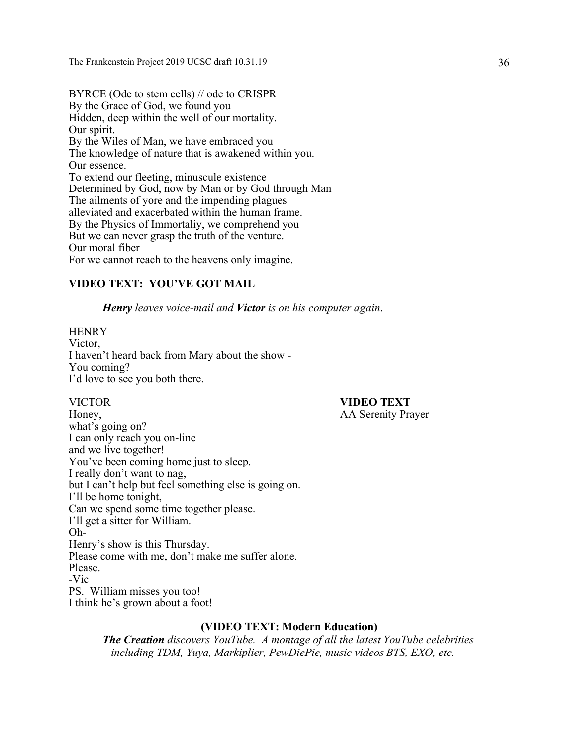BYRCE (Ode to stem cells) // ode to CRISPR By the Grace of God, we found you Hidden, deep within the well of our mortality. Our spirit. By the Wiles of Man, we have embraced you The knowledge of nature that is awakened within you. Our essence. To extend our fleeting, minuscule existence Determined by God, now by Man or by God through Man The ailments of yore and the impending plagues alleviated and exacerbated within the human frame. By the Physics of Immortaliy, we comprehend you But we can never grasp the truth of the venture. Our moral fiber For we cannot reach to the heavens only imagine.

#### **VIDEO TEXT: YOU'VE GOT MAIL**

*Henry leaves voice-mail and Victor is on his computer again*.

**HENRY** Victor, I haven't heard back from Mary about the show - You coming? I'd love to see you both there.

## VICTOR **VIDEO TEXT**

Honey, AA Serenity Prayer what's going on? I can only reach you on-line and we live together! You've been coming home just to sleep. I really don't want to nag, but I can't help but feel something else is going on. I'll be home tonight, Can we spend some time together please. I'll get a sitter for William. Oh-Henry's show is this Thursday. Please come with me, don't make me suffer alone. Please. -Vic PS. William misses you too! I think he's grown about a foot!

#### **(VIDEO TEXT: Modern Education)**

*The Creation discovers YouTube. A montage of all the latest YouTube celebrities – including TDM, Yuya, Markiplier, PewDiePie, music videos BTS, EXO, etc.*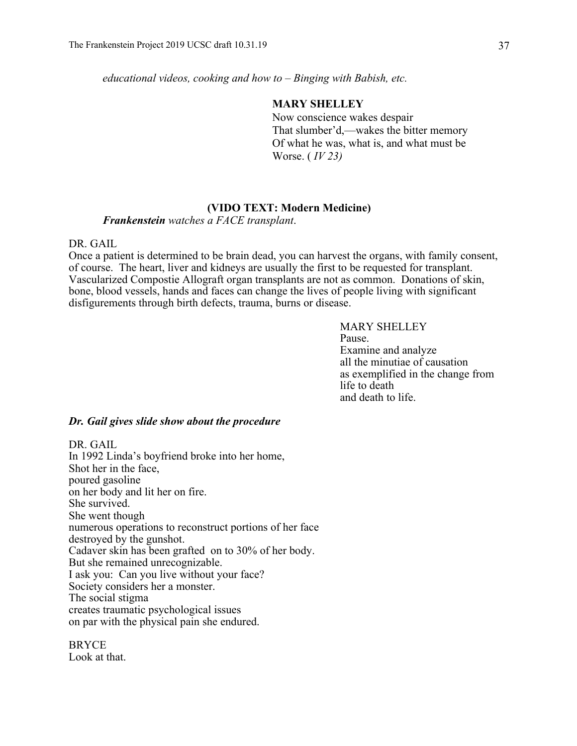*educational videos, cooking and how to – Binging with Babish, etc.* 

# **MARY SHELLEY**

Now conscience wakes despair That slumber'd,—wakes the bitter memory Of what he was, what is, and what must be Worse. ( *IV 23)*

# **(VIDO TEXT: Modern Medicine)**

*Frankenstein watches a FACE transplant*.

### DR. GAIL

Once a patient is determined to be brain dead, you can harvest the organs, with family consent, of course. The heart, liver and kidneys are usually the first to be requested for transplant. Vascularized Compostie Allograft organ transplants are not as common. Donations of skin, bone, blood vessels, hands and faces can change the lives of people living with significant disfigurements through birth defects, trauma, burns or disease.

> MARY SHELLEY Pause. Examine and analyze all the minutiae of causation as exemplified in the change from life to death and death to life.

### *Dr. Gail gives slide show about the procedure*

DR. GAIL In 1992 Linda's boyfriend broke into her home, Shot her in the face, poured gasoline on her body and lit her on fire. She survived. She went though numerous operations to reconstruct portions of her face destroyed by the gunshot. Cadaver skin has been grafted on to 30% of her body. But she remained unrecognizable. I ask you: Can you live without your face? Society considers her a monster. The social stigma creates traumatic psychological issues on par with the physical pain she endured.

BRYCE Look at that.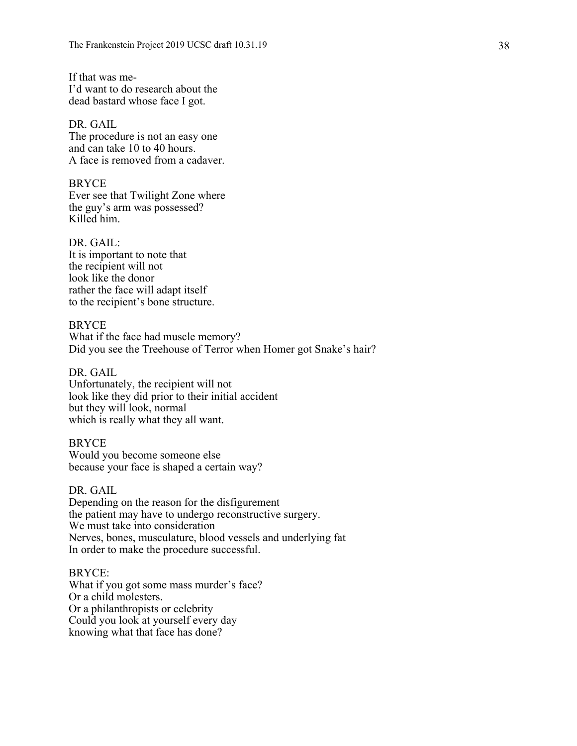If that was me-I'd want to do research about the dead bastard whose face I got.

# DR. GAIL

The procedure is not an easy one and can take 10 to 40 hours. A face is removed from a cadaver.

BRYCE Ever see that Twilight Zone where the guy's arm was possessed? Killed him.

DR. GAIL: It is important to note that the recipient will not look like the donor rather the face will adapt itself to the recipient's bone structure.

### BRYCE

What if the face had muscle memory? Did you see the Treehouse of Terror when Homer got Snake's hair?

# DR. GAIL

Unfortunately, the recipient will not look like they did prior to their initial accident but they will look, normal which is really what they all want.

### BRYCE

Would you become someone else because your face is shaped a certain way?

### DR. GAIL

Depending on the reason for the disfigurement the patient may have to undergo reconstructive surgery. We must take into consideration Nerves, bones, musculature, blood vessels and underlying fat In order to make the procedure successful.

### BRYCE:

What if you got some mass murder's face? Or a child molesters. Or a philanthropists or celebrity Could you look at yourself every day knowing what that face has done?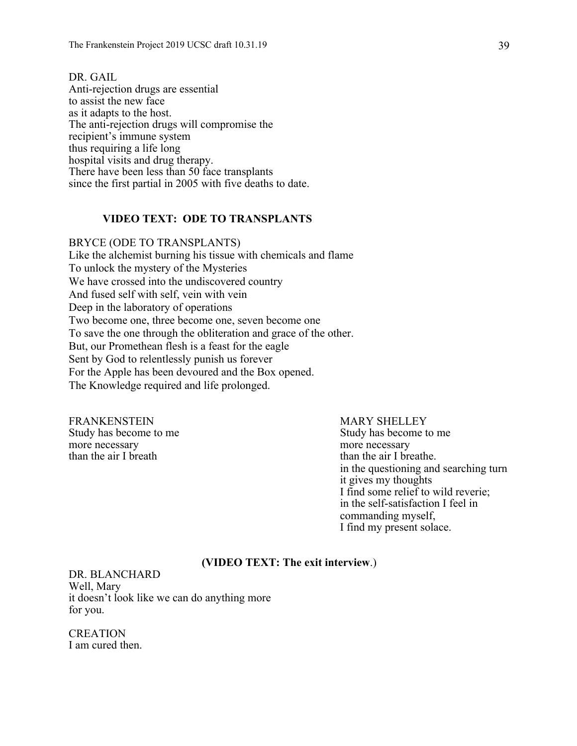DR. GAIL Anti-rejection drugs are essential to assist the new face as it adapts to the host. The anti-rejection drugs will compromise the recipient's immune system thus requiring a life long hospital visits and drug therapy. There have been less than 50 face transplants since the first partial in 2005 with five deaths to date.

### **VIDEO TEXT: ODE TO TRANSPLANTS**

BRYCE (ODE TO TRANSPLANTS) Like the alchemist burning his tissue with chemicals and flame To unlock the mystery of the Mysteries We have crossed into the undiscovered country And fused self with self, vein with vein Deep in the laboratory of operations Two become one, three become one, seven become one To save the one through the obliteration and grace of the other. But, our Promethean flesh is a feast for the eagle Sent by God to relentlessly punish us forever For the Apple has been devoured and the Box opened. The Knowledge required and life prolonged.

FRANKENSTEIN MARY SHELLEY more necessary<br>than the air I breath than the air I breath than the air I breath than the same state of the same state of the<br>than the same state of the same state of the same state of the same state of the same state of t

Study has become to me Study has become to me than the air I breathe. in the questioning and searching turn it gives my thoughts I find some relief to wild reverie; in the self-satisfaction I feel in commanding myself, I find my present solace.

### **(VIDEO TEXT: The exit interview**.)

DR. BLANCHARD Well, Mary it doesn't look like we can do anything more for you.

CREATION I am cured then.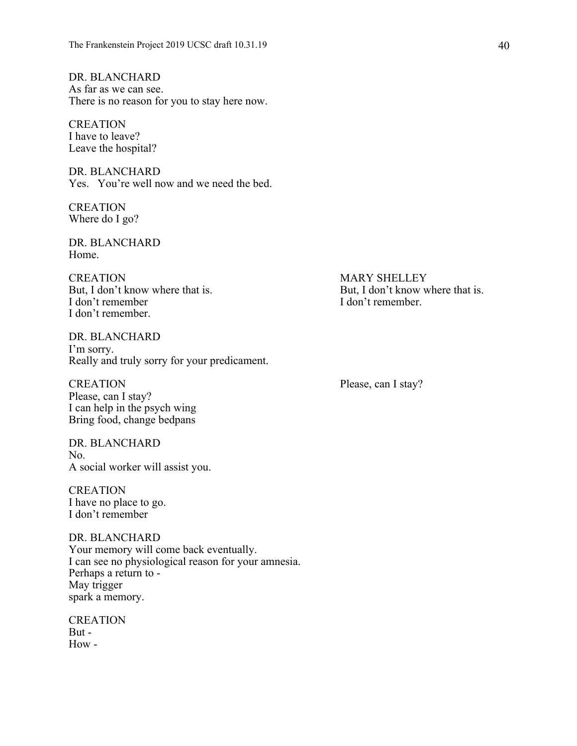DR. BLANCHARD As far as we can see. There is no reason for you to stay here now.

**CREATION** I have to leave? Leave the hospital?

DR. BLANCHARD Yes. You're well now and we need the bed.

CREATION Where do I go?

DR. BLANCHARD Home.

CREATION MARY SHELLEY I don't remember I don't remember. I don't remember.

DR. BLANCHARD I'm sorry. Really and truly sorry for your predicament.

CREATION Please, can I stay? Please, can I stay? I can help in the psych wing Bring food, change bedpans

DR. BLANCHARD No. A social worker will assist you.

CREATION I have no place to go. I don't remember

DR. BLANCHARD Your memory will come back eventually. I can see no physiological reason for your amnesia. Perhaps a return to - May trigger spark a memory.

CREATION But - How -

But, I don't know where that is. But, I don't know where that is.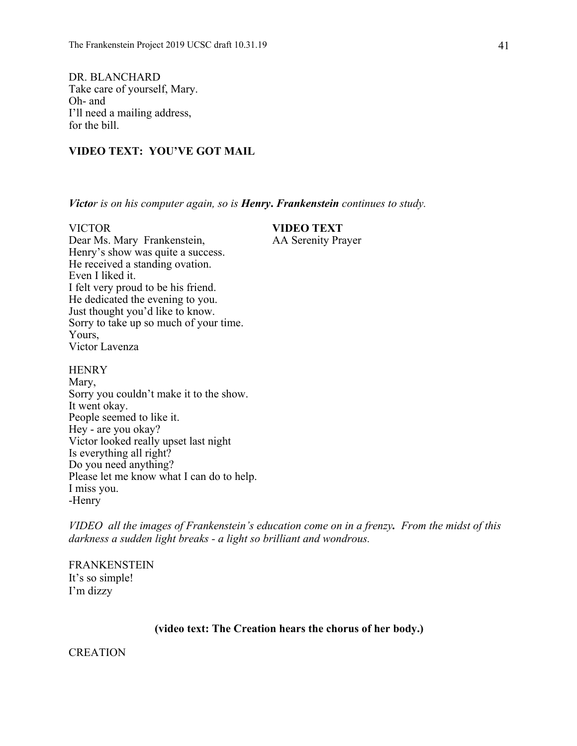DR. BLANCHARD Take care of yourself, Mary. Oh- and I'll need a mailing address, for the bill.

# **VIDEO TEXT: YOU'VE GOT MAIL**

*Victor is on his computer again, so is Henry***.** *Frankenstein continues to study.*

# VICTOR **VIDEO TEXT**

Dear Ms. Mary Frankenstein, AA Serenity Prayer Henry's show was quite a success. He received a standing ovation. Even I liked it. I felt very proud to be his friend. He dedicated the evening to you. Just thought you'd like to know. Sorry to take up so much of your time. Yours, Victor Lavenza

**HENRY** Mary, Sorry you couldn't make it to the show. It went okay. People seemed to like it. Hey - are you okay? Victor looked really upset last night Is everything all right? Do you need anything? Please let me know what I can do to help.

*VIDEO all the images of Frankenstein's education come on in a frenzy. From the midst of this darkness a sudden light breaks - a light so brilliant and wondrous.*

FRANKENSTEIN It's so simple! I'm dizzy

I miss you. -Henry

# **(video text: The Creation hears the chorus of her body.)**

**CREATION**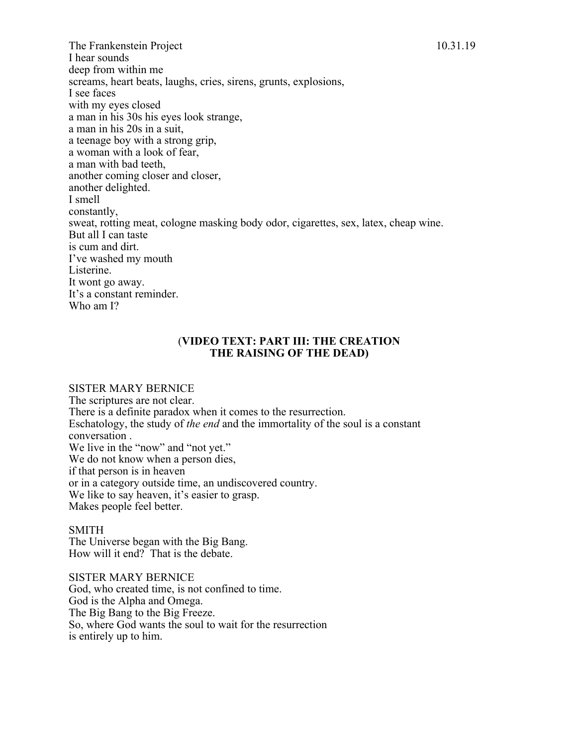The Frankenstein Project 10.31.19 I hear sounds deep from within me screams, heart beats, laughs, cries, sirens, grunts, explosions, I see faces with my eyes closed a man in his 30s his eyes look strange, a man in his 20s in a suit, a teenage boy with a strong grip, a woman with a look of fear, a man with bad teeth, another coming closer and closer, another delighted. I smell constantly, sweat, rotting meat, cologne masking body odor, cigarettes, sex, latex, cheap wine. But all I can taste is cum and dirt. I've washed my mouth Listerine. It wont go away. It's a constant reminder. Who am I?

# (**VIDEO TEXT: PART III: THE CREATION THE RAISING OF THE DEAD)**

### SISTER MARY BERNICE

The scriptures are not clear. There is a definite paradox when it comes to the resurrection. Eschatology, the study of *the end* and the immortality of the soul is a constant conversation . We live in the "now" and "not yet." We do not know when a person dies, if that person is in heaven or in a category outside time, an undiscovered country. We like to say heaven, it's easier to grasp. Makes people feel better.

### SMITH

The Universe began with the Big Bang. How will it end? That is the debate.

SISTER MARY BERNICE God, who created time, is not confined to time. God is the Alpha and Omega. The Big Bang to the Big Freeze. So, where God wants the soul to wait for the resurrection is entirely up to him.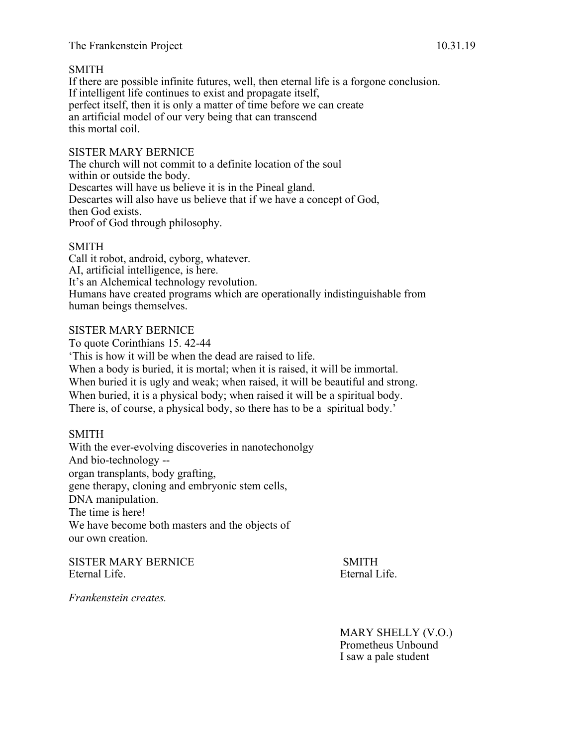# The Frankenstein Project 10.31.19

# SMITH

If there are possible infinite futures, well, then eternal life is a forgone conclusion. If intelligent life continues to exist and propagate itself, perfect itself, then it is only a matter of time before we can create an artificial model of our very being that can transcend this mortal coil.

# SISTER MARY BERNICE

The church will not commit to a definite location of the soul within or outside the body. Descartes will have us believe it is in the Pineal gland. Descartes will also have us believe that if we have a concept of God, then God exists. Proof of God through philosophy.

# SMITH

Call it robot, android, cyborg, whatever. AI, artificial intelligence, is here. It's an Alchemical technology revolution. Humans have created programs which are operationally indistinguishable from human beings themselves.

# SISTER MARY BERNICE

To quote Corinthians 15. 42-44 'This is how it will be when the dead are raised to life. When a body is buried, it is mortal; when it is raised, it will be immortal. When buried it is ugly and weak; when raised, it will be beautiful and strong. When buried, it is a physical body; when raised it will be a spiritual body. There is, of course, a physical body, so there has to be a spiritual body.'

# SMITH

With the ever-evolving discoveries in nanotechonolgy And bio-technology - organ transplants, body grafting, gene therapy, cloning and embryonic stem cells, DNA manipulation. The time is here! We have become both masters and the objects of our own creation.

SISTER MARY BERNICE SMITH Eternal Life. Eternal Life.

*Frankenstein creates.*

MARY SHELLY (V.O.) Prometheus Unbound I saw a pale student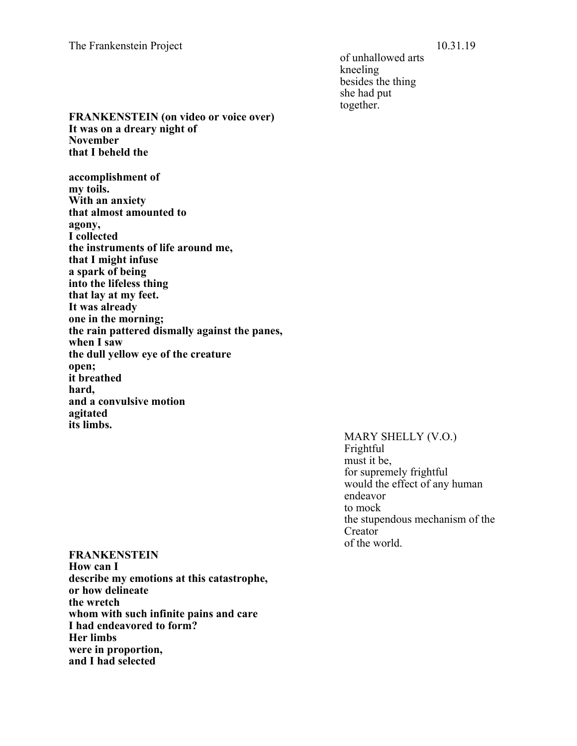of unhallowed arts kneeling besides the thing she had put together.

**FRANKENSTEIN (on video or voice over) It was on a dreary night of November that I beheld the** 

**accomplishment of my toils. With an anxiety that almost amounted to agony, I collected the instruments of life around me, that I might infuse a spark of being into the lifeless thing that lay at my feet. It was already one in the morning; the rain pattered dismally against the panes, when I saw the dull yellow eye of the creature open; it breathed hard, and a convulsive motion agitated its limbs.**

> MARY SHELLY (V.O.) Frightful must it be, for supremely frightful would the effect of any human endeavor to mock the stupendous mechanism of the Creator of the world.

**FRANKENSTEIN How can I describe my emotions at this catastrophe, or how delineate the wretch whom with such infinite pains and care I had endeavored to form? Her limbs were in proportion, and I had selected**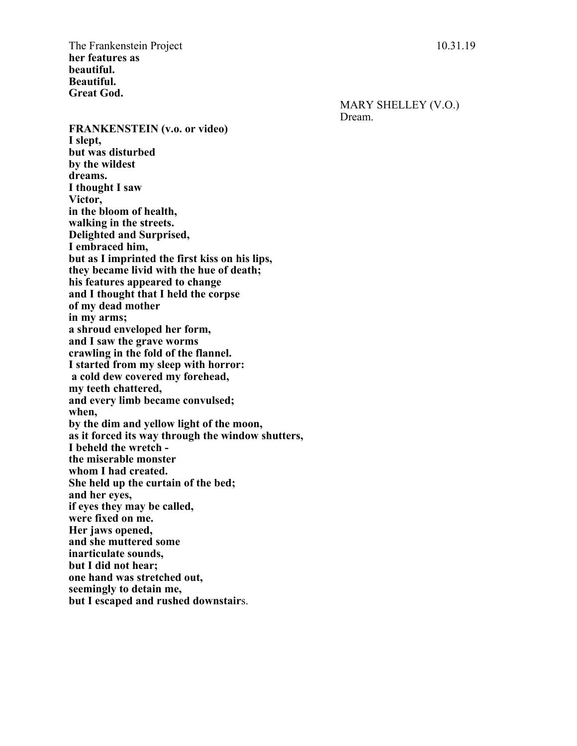The Frankenstein Project 10.31.19 **her features as beautiful. Beautiful. Great God.**

> MARY SHELLEY (V.O.) Dream.

**FRANKENSTEIN (v.o. or video) I slept, but was disturbed by the wildest dreams. I thought I saw Victor, in the bloom of health, walking in the streets. Delighted and Surprised, I embraced him, but as I imprinted the first kiss on his lips, they became livid with the hue of death; his features appeared to change and I thought that I held the corpse of my dead mother in my arms; a shroud enveloped her form, and I saw the grave worms crawling in the fold of the flannel. I started from my sleep with horror: a cold dew covered my forehead, my teeth chattered, and every limb became convulsed; when, by the dim and yellow light of the moon, as it forced its way through the window shutters, I beheld the wretch the miserable monster whom I had created. She held up the curtain of the bed; and her eyes, if eyes they may be called, were fixed on me. Her jaws opened, and she muttered some inarticulate sounds, but I did not hear; one hand was stretched out, seemingly to detain me, but I escaped and rushed downstair**s.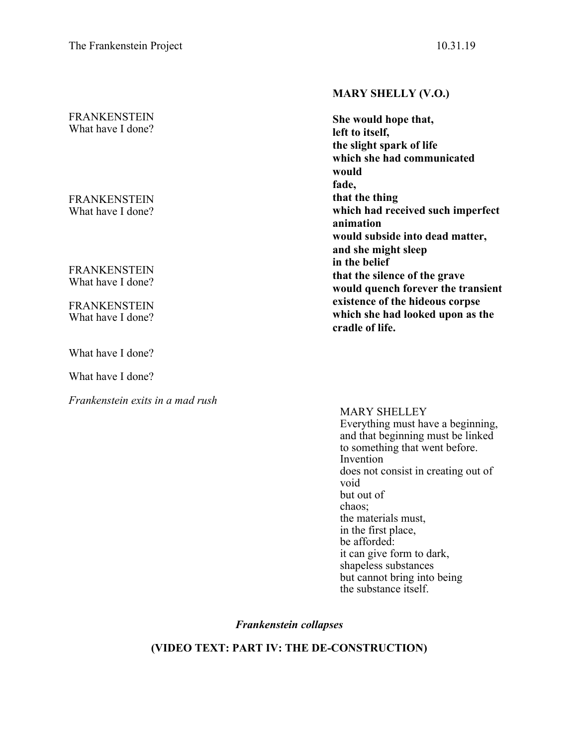# FRANKENSTEIN What have I done?

FRANKENSTEIN What have I done?

FRANKENSTEIN What have I done?

FRANKENSTEIN What have I done?

What have I done?

What have I done?

*Frankenstein exits in a mad rush*

# **MARY SHELLY (V.O.)**

**She would hope that, left to itself, the slight spark of life which she had communicated would fade, that the thing which had received such imperfect animation would subside into dead matter, and she might sleep in the belief that the silence of the grave would quench forever the transient existence of the hideous corpse which she had looked upon as the cradle of life.**

MARY SHELLEY Everything must have a beginning, and that beginning must be linked to something that went before. Invention does not consist in creating out of void but out of chaos; the materials must, in the first place, be afforded: it can give form to dark, shapeless substances but cannot bring into being the substance itself.

*Frankenstein collapses*

**(VIDEO TEXT: PART IV: THE DE-CONSTRUCTION)**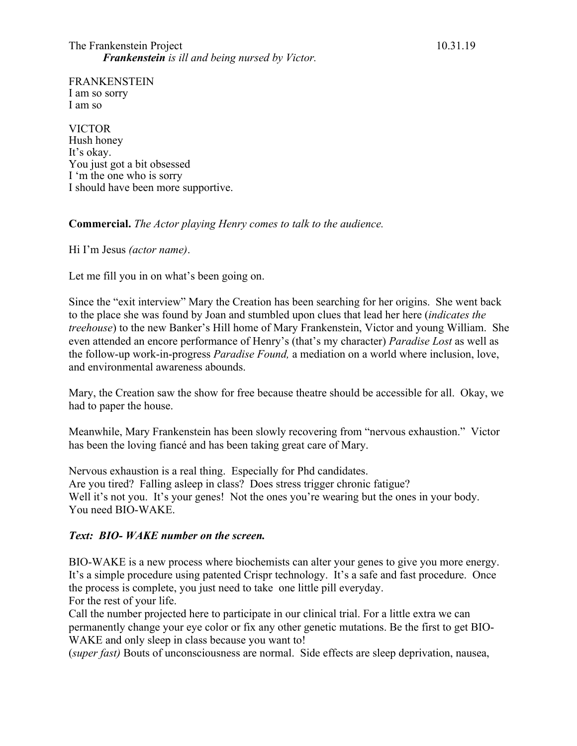FRANKENSTEIN I am so sorry I am so

VICTOR Hush honey It's okay. You just got a bit obsessed I 'm the one who is sorry I should have been more supportive.

# **Commercial.** *The Actor playing Henry comes to talk to the audience.*

Hi I'm Jesus *(actor name)*.

Let me fill you in on what's been going on.

Since the "exit interview" Mary the Creation has been searching for her origins. She went back to the place she was found by Joan and stumbled upon clues that lead her here (*indicates the treehouse*) to the new Banker's Hill home of Mary Frankenstein, Victor and young William. She even attended an encore performance of Henry's (that's my character) *Paradise Lost* as well as the follow-up work-in-progress *Paradise Found,* a mediation on a world where inclusion, love, and environmental awareness abounds.

Mary, the Creation saw the show for free because theatre should be accessible for all. Okay, we had to paper the house.

Meanwhile, Mary Frankenstein has been slowly recovering from "nervous exhaustion." Victor has been the loving fiancé and has been taking great care of Mary.

Nervous exhaustion is a real thing. Especially for Phd candidates. Are you tired? Falling asleep in class? Does stress trigger chronic fatigue? Well it's not you. It's your genes! Not the ones you're wearing but the ones in your body. You need BIO-WAKE.

# *Text: BIO- WAKE number on the screen.*

BIO-WAKE is a new process where biochemists can alter your genes to give you more energy. It's a simple procedure using patented Crispr technology. It's a safe and fast procedure. Once the process is complete, you just need to take one little pill everyday. For the rest of your life.

Call the number projected here to participate in our clinical trial. For a little extra we can permanently change your eye color or fix any other genetic mutations. Be the first to get BIO-WAKE and only sleep in class because you want to!

(*super fast)* Bouts of unconsciousness are normal. Side effects are sleep deprivation, nausea,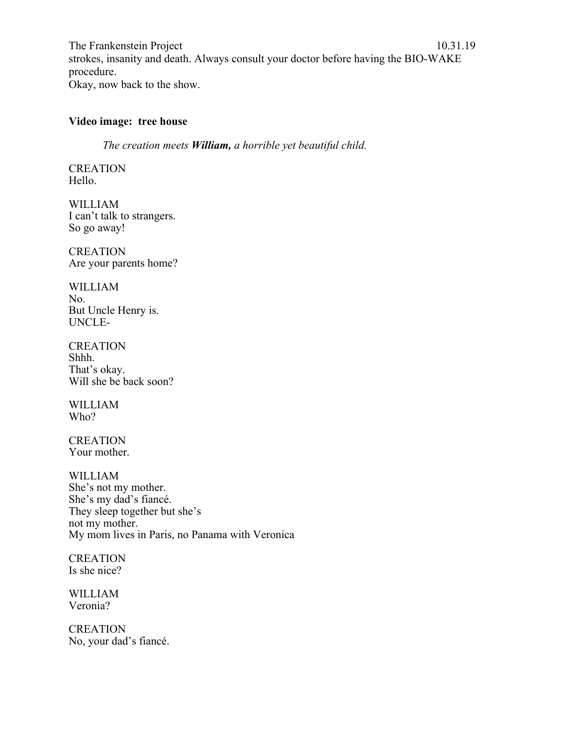The Frankenstein Project 10.31.19 strokes, insanity and death. Always consult your doctor before having the BIO-WAKE procedure. Okay, now back to the show.

# **Video image: tree house**

*The creation meets William, a horrible yet beautiful child.*

**CREATION** Hello.

WILLIAM I can't talk to strangers. So go away!

**CREATION** Are your parents home?

WILLIAM No. But Uncle Henry is. UNCLE-

CREATION Shhh. That's okay. Will she be back soon?

WILLIAM Who?

**CREATION** Your mother.

WILLIAM She's not my mother. She's my dad's fiancé. They sleep together but she's not my mother. My mom lives in Paris, no Panama with Veronica

**CREATION** Is she nice?

WILLIAM Veronia?

**CREATION** No, your dad's fiancé.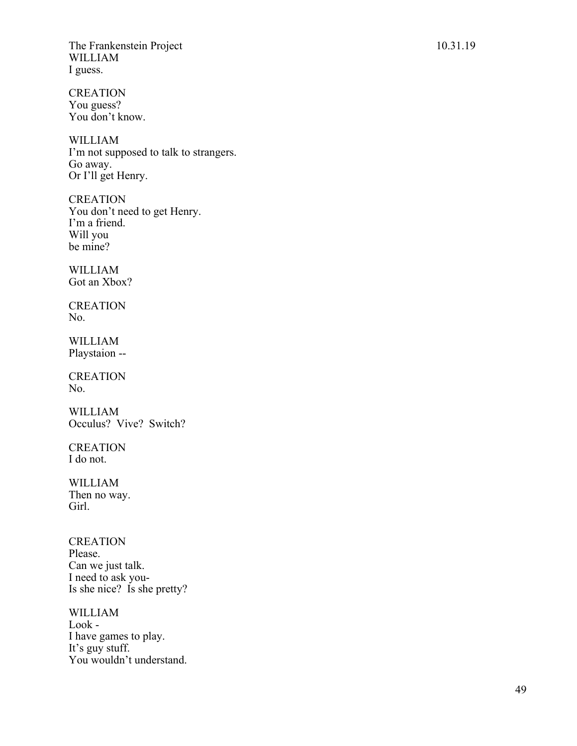**CREATION** You guess? You don't know.

WILLIAM I'm not supposed to talk to strangers. Go away. Or I'll get Henry .

**CREATION** You don't need to get Henry. I'm a friend. Will you be mine?

WILLIAM Got an Xbox ?

**CREATION** No.

WILLIAM Playstaion - -

**CREATION** No.

WILLIAM Occulus? Vive? Switch?

CREATION I do not.

WILLIAM Then no way. Girl.

**CREATION** Please. Can we just talk. I need to ask you - Is she nice? Is she pretty?

WILLIAM Look - I have games to play. It's guy stu ff. You wouldn't understand.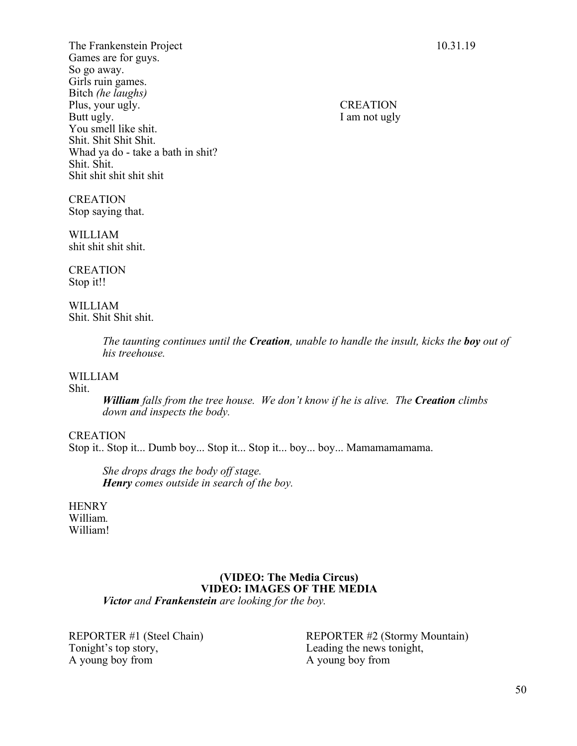The Frankenstein Project 10.31.19 Games are for guys. So go away. Girls ruin games. Bitch *(he laughs)* Plus, your ugly. CREATION Butt ugly. I am not ugly You smell like shit. Shit. Shit Shit Shit. Whad ya do - take a bath in shit? Shit. Shit. Shit shit shit shit shit

CREATION Stop saying that.

WILLIAM shit shit shit shit.

**CREATION** Stop it!!

WILLIAM Shit. Shit Shit shit.

> *The taunting continues until the Creation, unable to handle the insult, kicks the boy out of his treehouse.*

### WILLIAM

Shit.

*William falls from the tree house. We don't know if he is alive. The Creation climbs down and inspects the body.*

### CREATION

Stop it.. Stop it... Dumb boy... Stop it... Stop it... boy... boy... Mamamamamama.

*She drops drags the body off stage. Henry comes outside in search of the boy.*

**HENRY** William*.* William!

### **(VIDEO: The Media Circus) VIDEO: IMAGES OF THE MEDIA**  *Victor and Frankenstein are looking for the boy.*

Tonight's top story, Leading the news tonight, A young boy from A young boy from

REPORTER #1 (Steel Chain) REPORTER #2 (Stormy Mountain)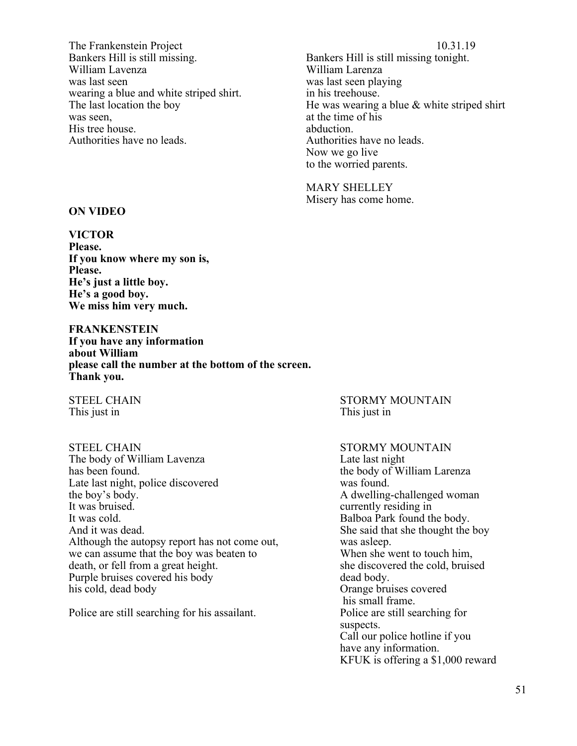The Frankenstein Project 10.31.19 Bankers Hill is still missing. Bankers Hill is still missing tonight. William Lavenza William Larenza was last seen was last seen playing wearing a blue and white striped shirt. in his treehouse. was seen, at the time of his His tree house. abduction.<br>Authorities have no leads. Authorities

The last location the boy He was wearing a blue & white striped shirt Authorities have no leads. Now we go live to the worried parents.

> MARY SHELLEY Misery has come home.

### **ON VIDEO**

# **VICTOR**

**Please. If you know where my son is, Please. He's just a little boy. He's a good boy. We miss him very much.**

**FRANKENSTEIN If you have any information about William please call the number at the bottom of the screen. Thank you.**

This just in This just in

STEEL CHAIN STORMY MOUNTAIN The body of William Lavenza<br>
has been found.<br>
the body of Wi Late last night, police discovered was found. the boy's body. The same state of the boy's body. It was bruised. The currently residing in the currently residing in It was cold. Balboa Park found the body. And it was dead. She said that she thought the boy Although the autopsy report has not come out, was asleep. we can assume that the boy was beaten to When she went to touch him,<br>death, or fell from a great height. She discovered the cold, bruised death, or fell from a great height. Purple bruises covered his body dead body. his cold, dead body Orange bruises covered

Police are still searching for his assailant. Police are still searching for

# STEEL CHAIN STORMY MOUNTAIN

the body of William Larenza his small frame. suspects. Call our police hotline if you have any information. KFUK is offering a \$1,000 reward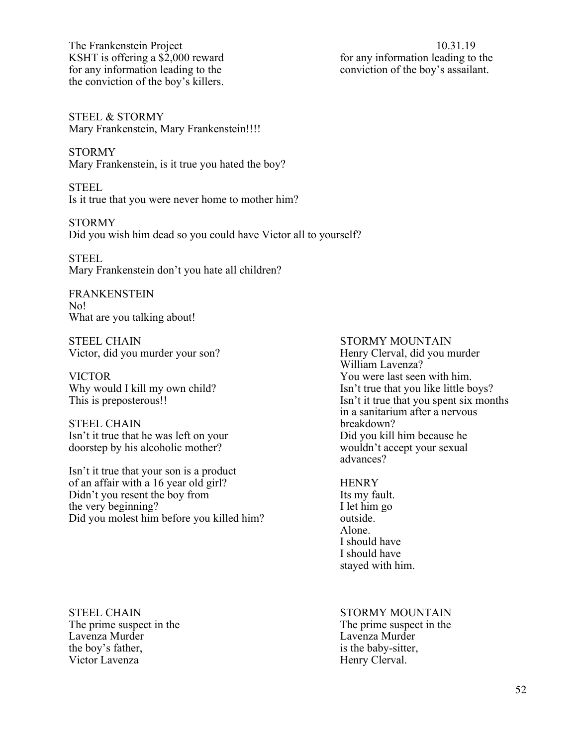The Frankenstein Project 10.31.19 KSHT is offering a  $$2,000$  reward for any information leading to the for any information leading to the conviction of the boy's assailant. the conviction of the boy's killers.

STEEL & STORMY Mary Frankenstein, Mary Frankenstein!!!!

STORMY Mary Frankenstein, is it true you hated the boy?

STEEL Is it true that you were never home to mother him?

STORMY Did you wish him dead so you could have Victor all to yourself?

STEEL Mary Frankenstein don't you hate all children?

FRANKENSTEIN No! What are you talking about!

STEEL CHAIN STORMY MOUNTAIN Victor, did you murder your son? Henry Clerval, did you murder

VICTOR You were last seen with him.

STEEL CHAIN breakdown? Isn't it true that he was left on your Did you kill him because he doorstep by his alcoholic mother? wouldn't accept your sexual

Isn't it true that your son is a product of an affair with a 16 year old girl? HENRY Didn't you resent the boy from Its my fault. the very beginning? I let him go Did you molest him before you killed him? outside.

William Lavenza? Why would I kill my own child? Isn't true that you like little boys? This is preposterous!! Isn't it true that you spent six months in a sanitarium after a nervous advances?

> Alone. I should have I should have stayed with him.

Lavenza Murder<br>
the boy's father,<br>
is the baby-sitter,<br>
is the baby-sitter, Victor Lavenza **Henry Clerval**.

STEEL CHAIN STORMY MOUNTAIN The prime suspect in the The prime suspect in the The prime suspect in the is the baby-sitter,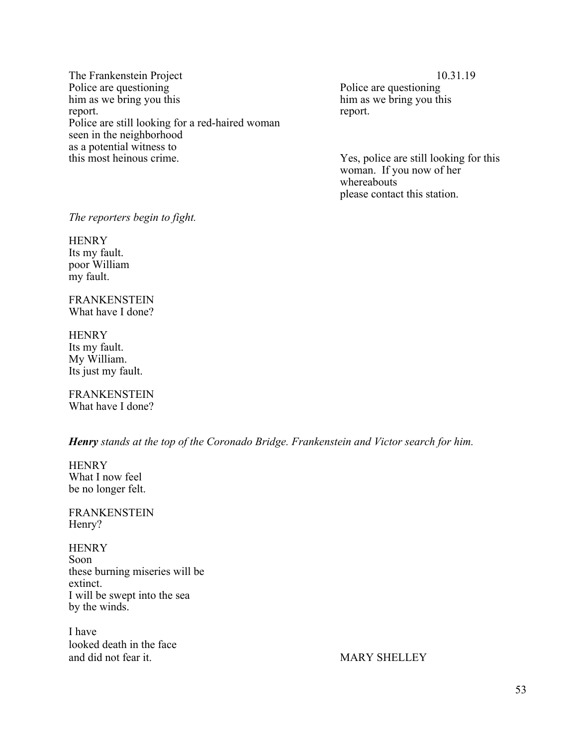The Frankenstein Project 10.31.19 Police are questioning<br>
him as we bring you this<br>
him as we bring you this him as we bring you this report. report. The contract of the contract of the contract of the contract of the contract of the contract of the contract of the contract of the contract of the contract of the contract of the contract of the contract of the co Police are still looking for a red-haired woman seen in the neighborhood as a potential witness to<br>this most heinous crime.

Yes, police are still looking for this woman. If you now of her whereabouts please contact this station.

*The reporters begin to fight.* 

**HENRY** Its my fault. poor William my fault.

FRANKENSTEIN What have I done?

**HENRY** Its my fault. My William. Its just my fault.

FRANKENSTEIN What have I done?

*Henry stands at the top of the Coronado Bridge. Frankenstein and Victor search for him.*

**HENRY** What I now feel be no longer felt.

FRANKENSTEIN Henry?

**HENRY** Soon these burning miseries will be extinct. I will be swept into the sea by the winds.

I have looked death in the face and did not fear it. MARY SHELLEY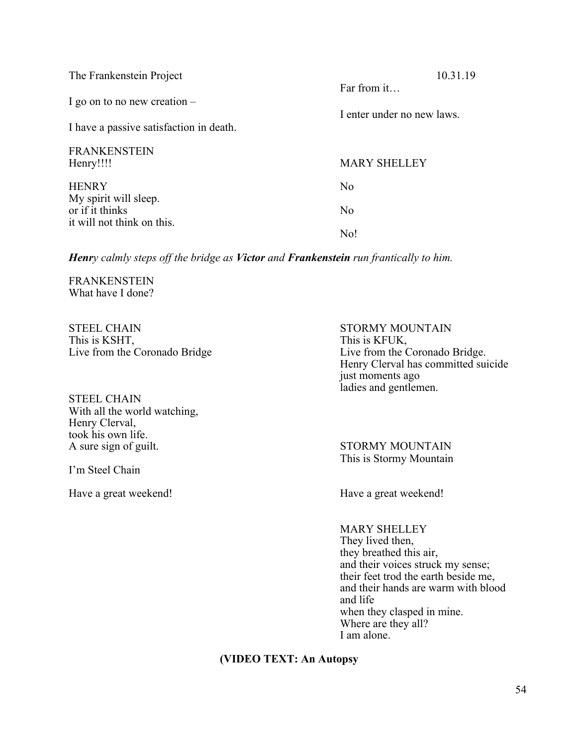| The Frankenstein Project                                                  | 10.31.19                                  |
|---------------------------------------------------------------------------|-------------------------------------------|
| I go on to no new creation $-$<br>I have a passive satisfaction in death. | Far from it<br>I enter under no new laws. |
| <b>FRANKENSTEIN</b><br>Henry!!!!                                          | <b>MARY SHELLEY</b>                       |
| <b>HENRY</b>                                                              | N <sub>o</sub>                            |
| My spirit will sleep.<br>or if it thinks<br>it will not think on this.    | N <sub>o</sub>                            |
|                                                                           | No!                                       |

*Henry calmly steps off the bridge as Victor and Frankenstein run frantically to him.*

FRANKENSTEIN What have I done?

STEEL CHAIN STORMY MOUNTAIN This is KSHT, This is KFUK,

STEEL CHAIN With all the world watching, Henry Clerval, took his own life.<br>A sure sign of guilt.

I'm Steel Chain

Have a great weekend! Have a great weekend!

Live from the Coronado Bridge Live from the Coronado Bridge. Henry Clerval has committed suicide just moments ago ladies and gentlemen.

> STORMY MOUNTAIN This is Stormy Mountain

MARY SHELLEY They lived then, they breathed this air, and their voices struck my sense; their feet trod the earth beside me, and their hands are warm with blood and life when they clasped in mine. Where are they all? I am alone.

# **(VIDEO TEXT: An Autopsy**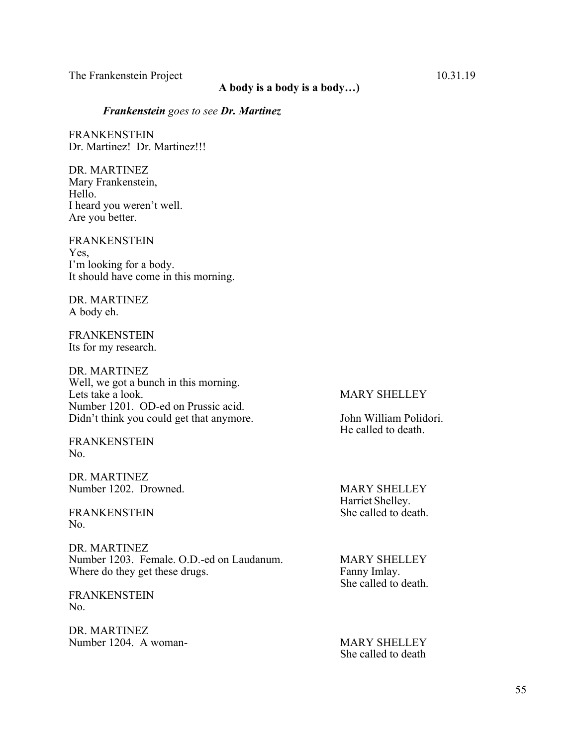# **A body is a body is a body…)**

### *Frankenstein goes to see Dr. Martinez*

FRANKENSTEIN Dr. Martinez! Dr. Martinez!!!

DR. MARTINEZ Mary Frankenstein, Hello. I heard you weren't well. Are you better.

FRANKENSTEIN Yes, I'm looking for a body. It should have come in this morning.

DR. MARTINEZ A body eh.

FRANKENSTEIN Its for my research.

DR. MARTINEZ Well, we got a bunch in this morning. Lets take a look. MARY SHELLEY Number 1201. OD-ed on Prussic acid. Didn't think you could get that anymore. John William Polidori.

FRANKENSTEIN No.

DR. MARTINEZ Number 1202. Drowned. MARY SHELLEY

FRANKENSTEIN No.

DR. MARTINEZ Number 1203. Female. O.D.-ed on Laudanum. MARY SHELLEY<br>Where do they get these drugs. Fanny Imlay. Where do they get these drugs.

FRANKENSTEIN No.

DR. MARTINEZ Number 1204. A woman- MARY SHELLEY

He called to death.

Harriet Shelley.<br>She called to death.

She called to death.

She called to death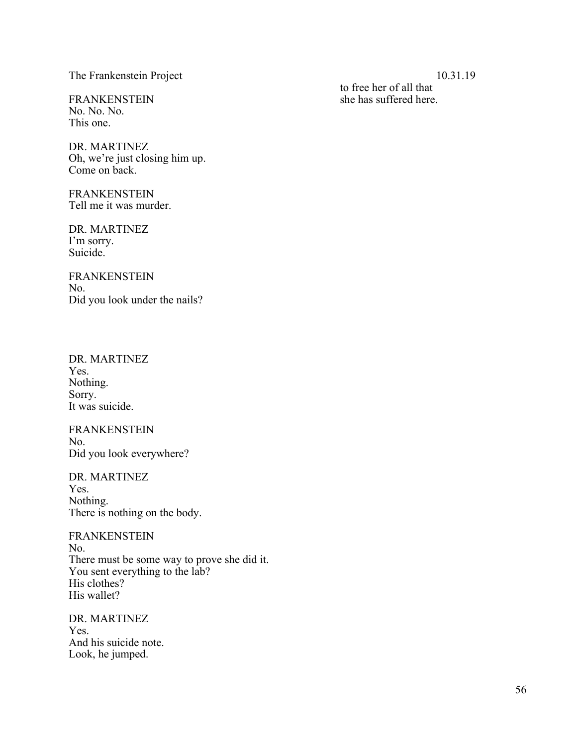The Frankenstein Project 10.31.19

No. No. No. This one.

DR. MARTINEZ Oh, we're just closing him up. Come on back.

FRANKENSTEIN Tell me it was murder.

DR. MARTINEZ I'm sorry. Suicide.

FRANKENSTEIN No. Did you look under the nails?

DR. MARTINEZ Yes. Nothing. Sorry. It was suicide.

FRANKENSTEIN No. Did you look everywhere?

DR. MARTINEZ Yes. Nothing. There is nothing on the body.

FRANKENSTEIN No. There must be some way to prove she did it. You sent everything to the lab? His clothes? His wallet?

DR. MARTINEZ Yes. And his suicide note. Look, he jumped.

to free her of all that FRANKENSTEIN she has suffered here.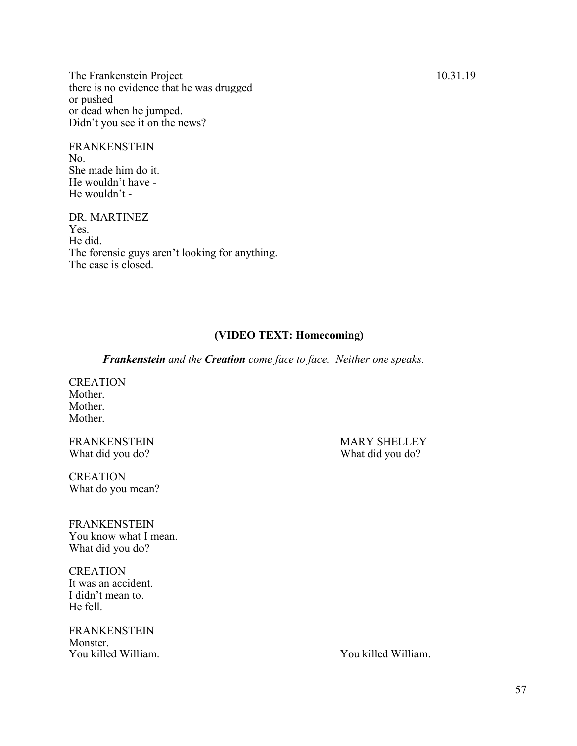The Frankenstein Project 10.31.19 there is no evidence that he was drugged or pushed or dead when he jumped. Didn't you see it on the news?

**FRANKENSTEIN** No. She made him do it. He wouldn't have - He wouldn't -

DR. MARTINEZ Yes. He did. The forensic guys aren't looking for anything. The case is closed.

### **(VIDEO TEXT: Homecoming)**

*Frankenstein and the Creation come face to face. Neither one speaks.*

**CREATION** Mother. Mother. Mother.

What did you do? What did you do?

**CREATION** What do you mean?

FRANKENSTEIN You know what I mean. What did you do?

**CREATION** It was an accident. I didn't mean to. He fell.

FRANKENSTEIN Monster. You killed William. You killed William.

FRANKENSTEIN MARY SHELLEY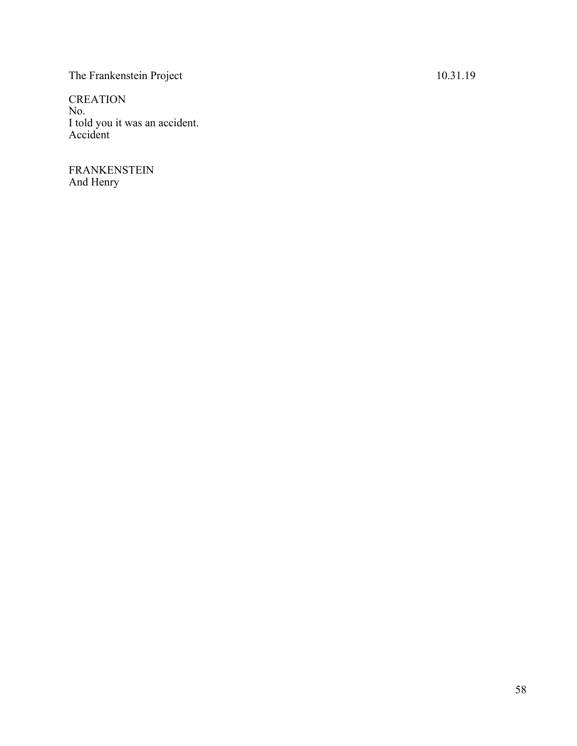# The Frankenstein Project 10.31.19

CREATION No. I told you it was an accident. Accident

FRANKENSTEIN And Henry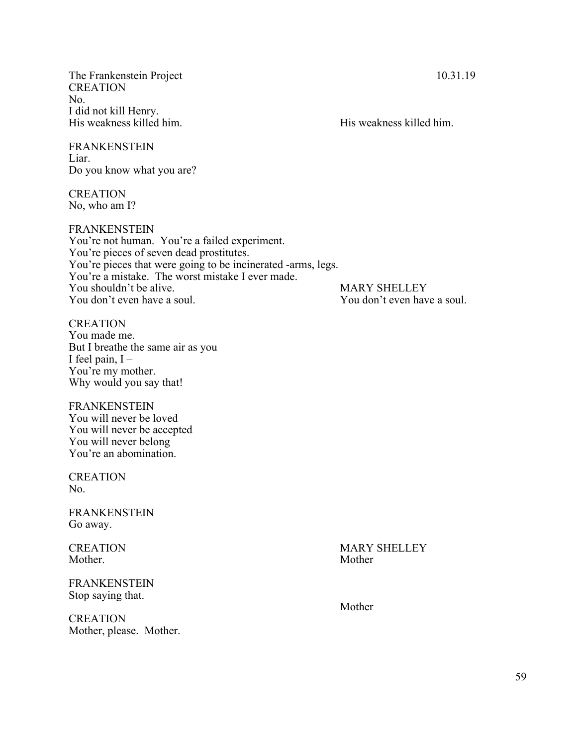The Frankenstein Project 10.31.19 **CREATION** No. I did not kill Henry. His weakness killed him. His weakness killed him.

FRANKENSTEIN Liar. Do you know what you are?

CREATION No, who am I?

FRANKENSTEIN

You're not human. You're a failed experiment. You're pieces of seven dead prostitutes. You're pieces that were going to be incinerated -arms, legs. You're a mistake. The worst mistake I ever made. You shouldn't be alive.<br>You don't even have a soul.<br>You don't even have a soul.<br>You don't even have

**CREATION** You made me. But I breathe the same air as you I feel pain,  $I -$ You're my mother. Why would you say that!

FRANKENSTEIN You will never be loved You will never be accepted You will never belong You're an abomination.

**CREATION** No.

FRANKENSTEIN Go away.

Mother. Mother Mother Mother

FRANKENSTEIN Stop saying that.

**CREATION** Mother, please. Mother. You don't even have a soul.

CREATION MARY SHELLEY

Mother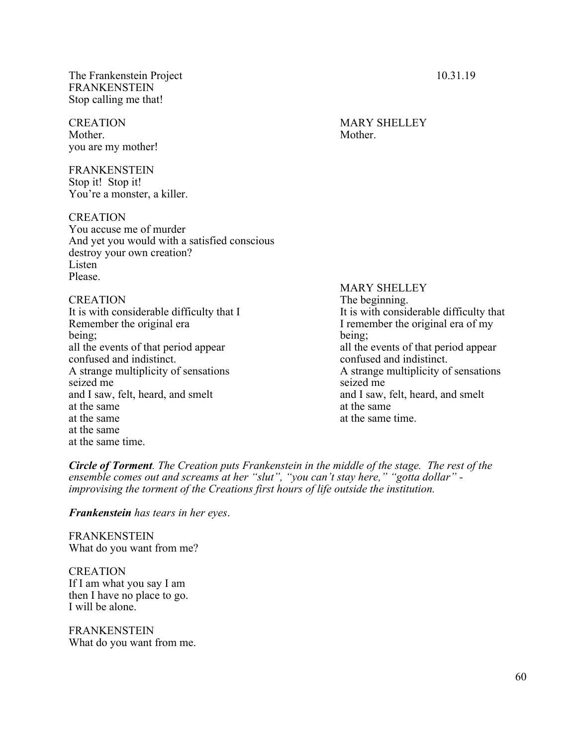The Frankenstein Project 10.31.19 FRANKENSTEIN Stop calling me that!

CREATION MARY SHELLEY Mother. Mother. you are my mother!

FRANKENSTEIN Stop it! Stop it! You're a monster, a killer.

**CREATION** 

You accuse me of murder And yet you would with a satisfied conscious destroy your own creation? **Listen** Please.

It is with considerable difficulty that  $I$ Remember the original era I remember the original era of my being; being; all the events of that period appear all the events of that period appear confused and indistinct. confused and indistinct. A strange multiplicity of sensations A strange multiplicity of sensations seized me seized me and I saw, felt, heard, and smelt and I saw, felt, heard, and smelt at the same at the same at the same at the same time. at the same at the same time.

MARY SHELLEY CREATION<br>It is with considerable difficulty that I and The beginning.<br>It is with considerable difficulty that

*Circle of Torment. The Creation puts Frankenstein in the middle of the stage. The rest of the ensemble comes out and screams at her "slut", "you can't stay here," "gotta dollar" improvising the torment of the Creations first hours of life outside the institution.* 

*Frankenstein has tears in her eyes*.

FRANKENSTEIN What do you want from me?

**CREATION** If I am what you say I am then I have no place to go. I will be alone.

FRANKENSTEIN What do you want from me.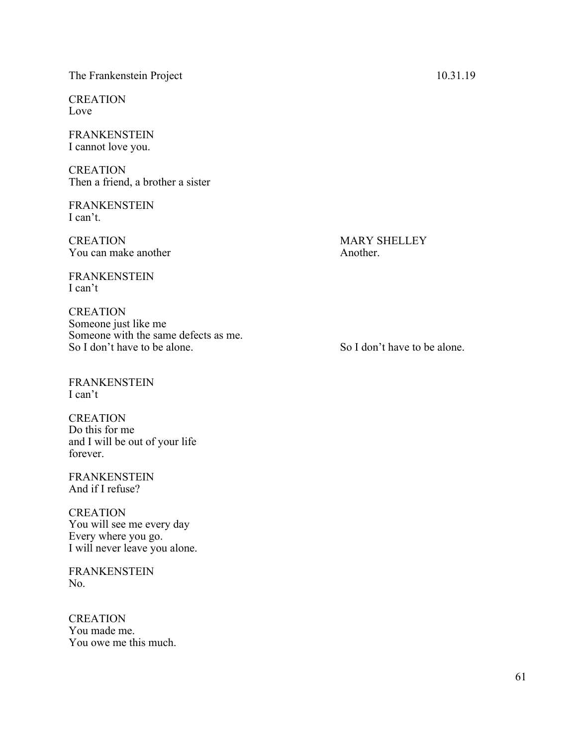# The Frankenstein Project 10.31.19

**CREATION** Love

FRANKENSTEIN I cannot love you.

CREATION Then a friend, a brother a sister

FRANKENSTEIN I can't.

CREATION MARY SHELLEY You can make another Another.

FRANKENSTEIN I can't

CREATION Someone just like me Someone with the same defects as me. So I don't have to be alone.<br>So I don't have to be alone.

FRANKENSTEIN I can't

**CREATION** Do this for me and I will be out of your life forever.

FRANKENSTEIN And if I refuse?

**CREATION** You will see me every day Every where you go. I will never leave you alone.

FRANKENSTEIN No.

**CREATION** You made me. You owe me this much.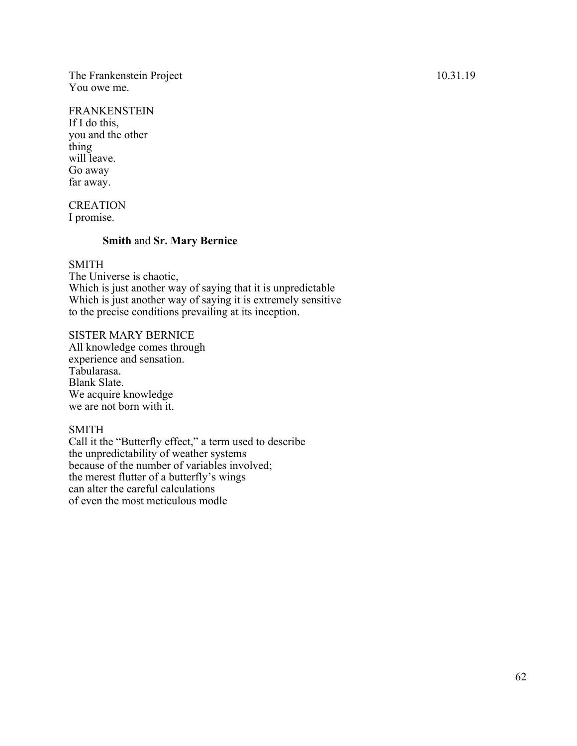The Frankenstein Project 10.31.19 You owe me.

# FRANKENSTEIN

If I do this, you and the other thing will leave. Go away far away.

**CREATION** I promise.

## **Smith** and **Sr. Mary Bernice**

# SMITH

The Universe is chaotic, Which is just another way of saying that it is unpredictable Which is just another way of saying it is extremely sensitive to the precise conditions prevailing at its inception.

SISTER MARY BERNICE

All knowledge comes through experience and sensation. Tabularasa. Blank Slate. We acquire knowledge we are not born with it.

### SMITH

Call it the "Butterfly effect," a term used to describe the unpredictability of weather systems because of the number of variables involved; the merest flutter of a butterfly's wings can alter the careful calculations of even the most meticulous modle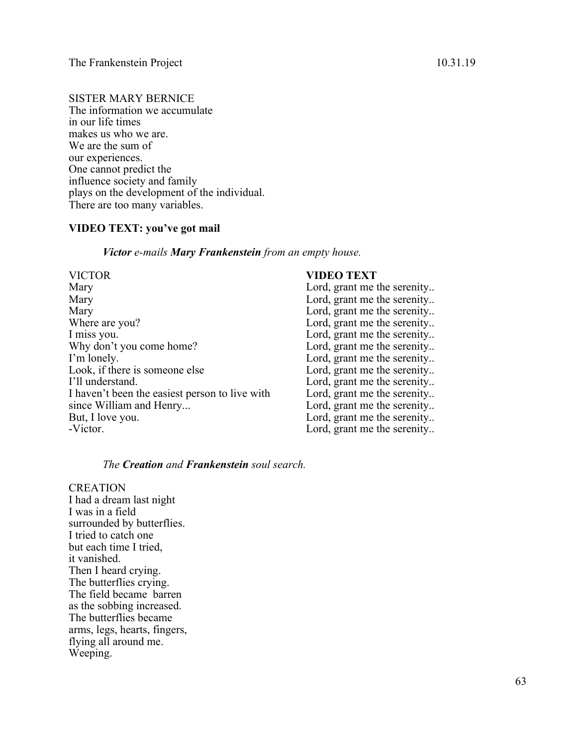SISTER MARY BERNICE The information we accumulate in our life times makes us who we are. We are the sum of our experiences. One cannot predict the influence society and family plays on the development of the individual. There are too many variables.

# **VIDEO TEXT: you've got mail**

*Victor e-mails Mary Frankenstein from an empty house.*

| <b>VICTOR</b>                                  | <b>VIDEO TEXT</b>           |
|------------------------------------------------|-----------------------------|
| Mary                                           | Lord, grant me the serenity |
| Mary                                           | Lord, grant me the serenity |
| Mary                                           | Lord, grant me the serenity |
| Where are you?                                 | Lord, grant me the serenity |
| I miss you.                                    | Lord, grant me the serenity |
| Why don't you come home?                       | Lord, grant me the serenity |
| I'm lonely.                                    | Lord, grant me the serenity |
| Look, if there is someone else                 | Lord, grant me the serenity |
| I'll understand.                               | Lord, grant me the serenity |
| I haven't been the easiest person to live with | Lord, grant me the serenity |
| since William and Henry                        | Lord, grant me the serenity |
| But, I love you.                               | Lord, grant me the serenity |
| -Victor.                                       | Lord, grant me the serenity |

# *The Creation and Frankenstein soul search.*

**CREATION** I had a dream last night I was in a field surrounded by butterflies. I tried to catch one but each time I tried, it vanished. Then I heard crying. The butterflies crying. The field became barren as the sobbing increased. The butterflies became arms, legs, hearts, fingers, flying all around me. Weeping.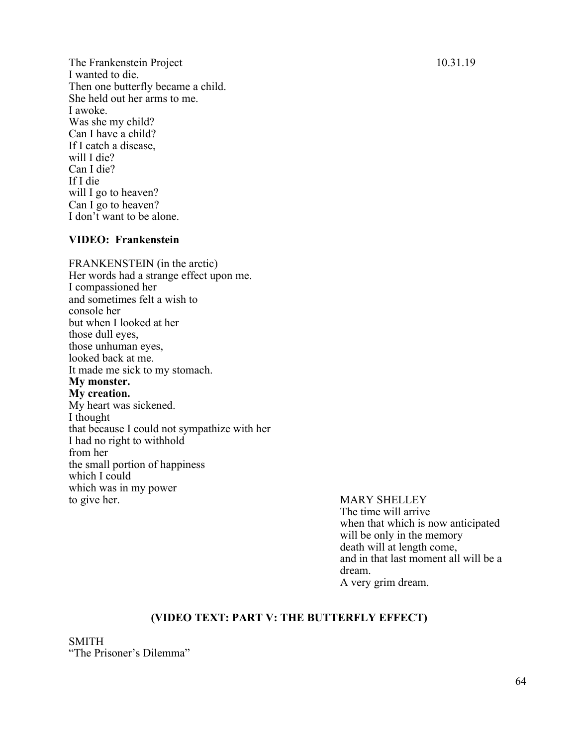The Frankenstein Project 10.31.19 I wanted to die. Then one butterfly became a child. She held out her arms to me. I awoke. Was she my child? Can I have a child? If I catch a disease, will I die? Can I die? If I die will I go to heaven? Can I go to heaven? I don't want to be alone.

# **VIDEO: Frankenstein**

FRANKENSTEIN (in the arctic) Her words had a strange effect upon me. I compassioned her and sometimes felt a wish to console her but when I looked at her those dull eyes, those unhuman eyes, looked back at me. It made me sick to my stomach. **My monster. My creation.** My heart was sickened. I thought that because I could not sympathize with her I had no right to withhold from her the small portion of happiness which I could which was in my power to give her. MARY SHELLEY

The time will arrive when that which is now anticipated will be only in the memory death will at length come, and in that last moment all will be a dream. A very grim dream.

# **(VIDEO TEXT: PART V: THE BUTTERFLY EFFECT)**

SMITH "The Prisoner's Dilemma"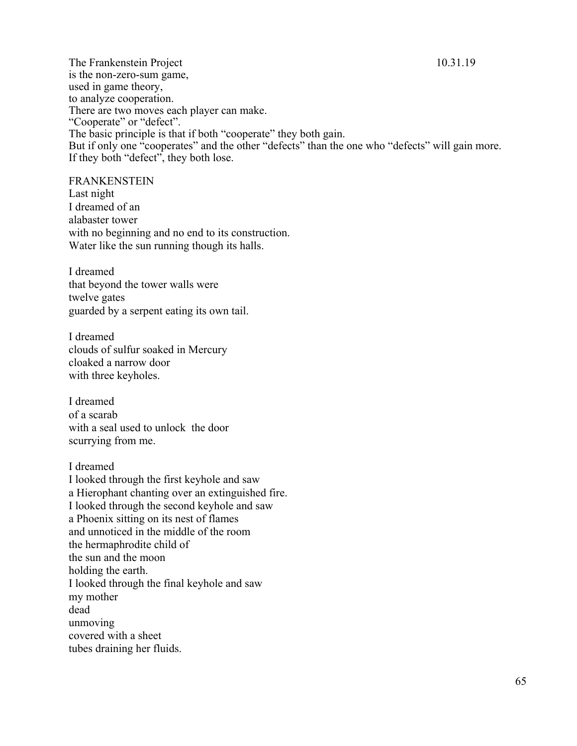The Frankenstein Project 10.31.19 is the non-zero-sum game, used in game theory, to analyze cooperation. There are two moves each player can make. "Cooperate" or "defect". The basic principle is that if both "cooperate" they both gain. But if only one "cooperates" and the other "defects" than the one who "defects" will gain more. If they both "defect", they both lose.

FRANKENSTEIN

Last night I dreamed of an alabaster tower with no beginning and no end to its construction. Water like the sun running though its halls.

I dreamed that beyond the tower walls were twelve gates guarded by a serpent eating its own tail.

I dreamed clouds of sulfur soaked in Mercury cloaked a narrow door with three keyholes.

I dreamed of a scarab with a seal used to unlock the door scurrying from me.

I dreamed

I looked through the first keyhole and saw a Hierophant chanting over an extinguished fire. I looked through the second keyhole and saw a Phoenix sitting on its nest of flames and unnoticed in the middle of the room the hermaphrodite child of the sun and the moon holding the earth. I looked through the final keyhole and saw my mother dead unmoving covered with a sheet tubes draining her fluids.

65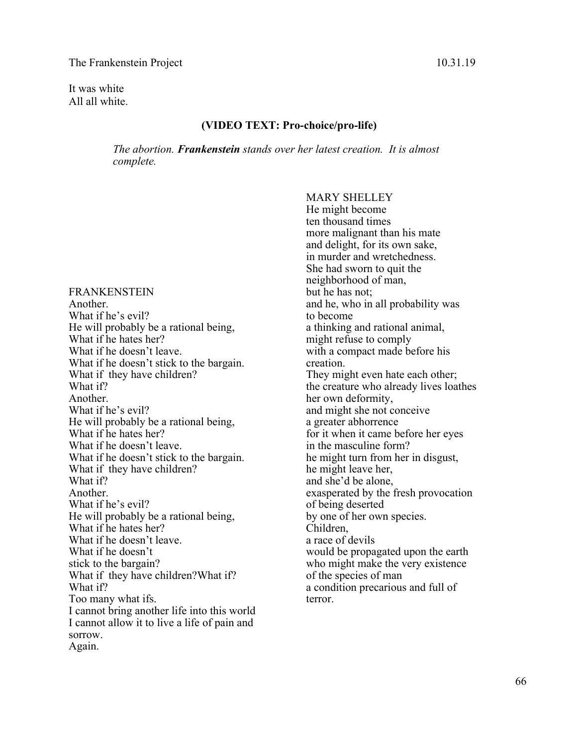It was white All all white.

# **(VIDEO TEXT: Pro-choice/pro-life)**

*The abortion. Frankenstein stands over her latest creation. It is almost complete.* 

FRANKENSTEIN Another. What if he's evil? He will probably be a rational being, What if he hates her? What if he doesn't leave. What if he doesn't stick to the bargain. What if they have children? What if? Another. What if he's evil? He will probably be a rational being, What if he hates her? What if he doesn't leave. What if he doesn't stick to the bargain. What if they have children? What if? Another. What if he's evil? He will probably be a rational being, What if he hates her? What if he doesn't leave. What if he doesn't stick to the bargain? What if they have children?What if? What if? Too many what ifs. I cannot bring another life into this world I cannot allow it to live a life of pain and sorrow. Again.

MARY SHELLEY He might become ten thousand times more malignant than his mate and delight, for its own sake, in murder and wretchedness. She had sworn to quit the neighborhood of man, but he has not; and he, who in all probability was to become a thinking and rational animal, might refuse to comply with a compact made before his creation. They might even hate each other; the creature who already lives loathes her own deformity, and might she not conceive a greater abhorrence for it when it came before her eyes in the masculine form? he might turn from her in disgust, he might leave her, and she'd be alone, exasperated by the fresh provocation of being deserted by one of her own species. Children, a race of devils would be propagated upon the earth who might make the very existence of the species of man a condition precarious and full of terror.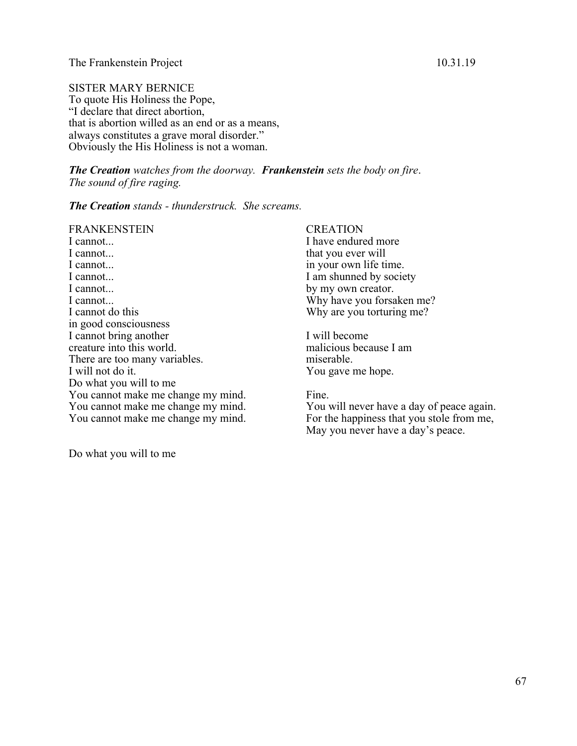SISTER MARY BERNICE To quote His Holiness the Pope, "I declare that direct abortion, that is abortion willed as an end or as a means, always constitutes a grave moral disorder." Obviously the His Holiness is not a woman.

*The Creation watches from the doorway. Frankenstein sets the body on fire*. *The sound of fire raging.*

*The Creation stands - thunderstruck. She screams.*

FRANKENSTEIN I cannot... I cannot... I cannot... I cannot... I cannot... I cannot... I cannot do this in good consciousness I cannot bring another creature into this world. There are too many variables. I will not do it. Do what you will to me You cannot make me change my mind. You cannot make me change my mind. You cannot make me change my mind.

# **CREATION**

I have endured more that you ever will in your own life time. I am shunned by society by my own creator. Why have you forsaken me? Why are you torturing me?

I will become malicious because I am miserable. You gave me hope.

### Fine.

You will never have a day of peace again. For the happiness that you stole from me, May you never have a day's peace.

Do what you will to me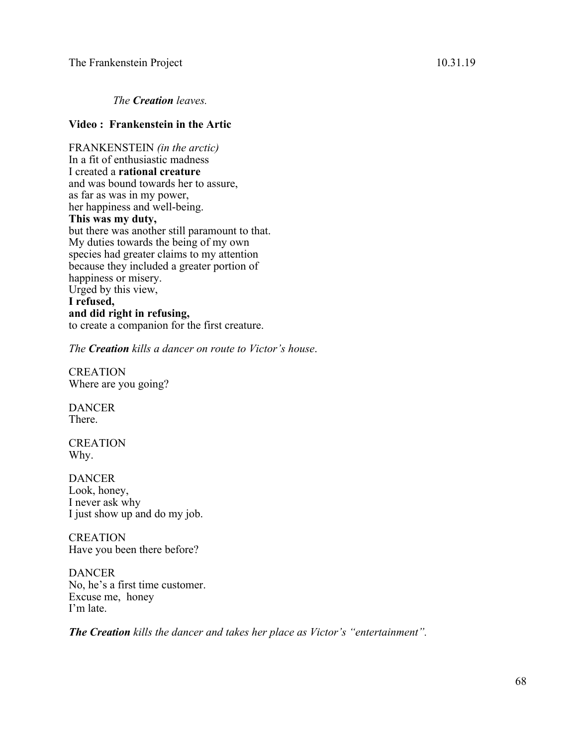*The Creation leaves.*

# **Video : Frankenstein in the Artic**

FRANKENSTEIN *(in the arctic)* In a fit of enthusiastic madness I created a **rational creature** and was bound towards her to assure, as far as was in my power, her happiness and well-being. **This was my duty,**  but there was another still paramount to that. My duties towards the being of my own species had greater claims to my attention because they included a greater portion of happiness or misery. Urged by this view, **I refused,** 

# **and did right in refusing,**  to create a companion for the first creature.

*The Creation kills a dancer on route to Victor's house*.

**CREATION** Where are you going?

DANCER There.

CREATION Why.

DANCER Look, honey, I never ask why I just show up and do my job.

**CREATION** Have you been there before?

**DANCER** No, he's a first time customer. Excuse me, honey I'm late.

*The Creation kills the dancer and takes her place as Victor's "entertainment".*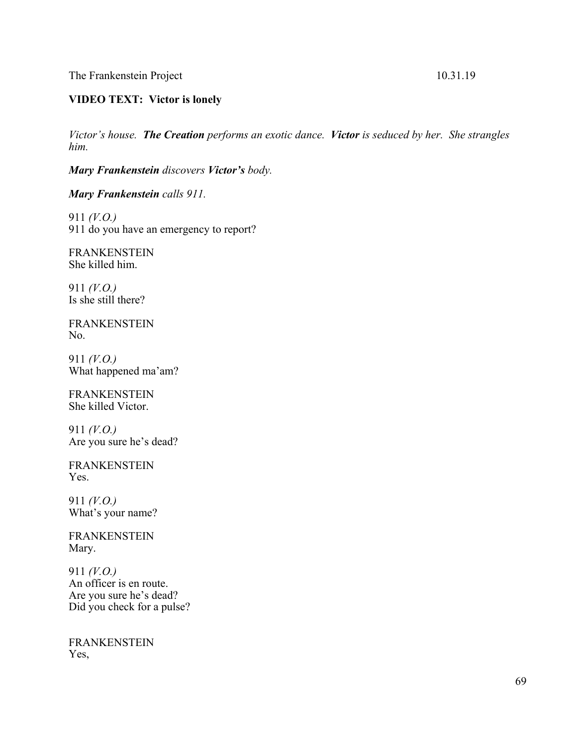The Frankenstein Project 10.31.19

*Victor's house. The Creation performs an exotic dance. Victor is seduced by her. She strangles him.*

*Mary Frankenstein discovers Victor's body.*

*Mary Frankenstein calls 911.*

911 *(V.O.)* 911 do you have an emergency to report?

FRANKENSTEIN She killed him.

911 *(V.O.)* Is she still there?

FRANKENSTEIN No.

911 *(V.O.)* What happened ma'am?

FRANKENSTEIN She killed Victor.

911 *(V.O.)* Are you sure he's dead?

FRANKENSTEIN Yes.

911 *(V.O.)* What's your name?

FRANKENSTEIN Mary.

911 *(V.O.)* An officer is en route. Are you sure he's dead? Did you check for a pulse?

FRANKENSTEIN Yes,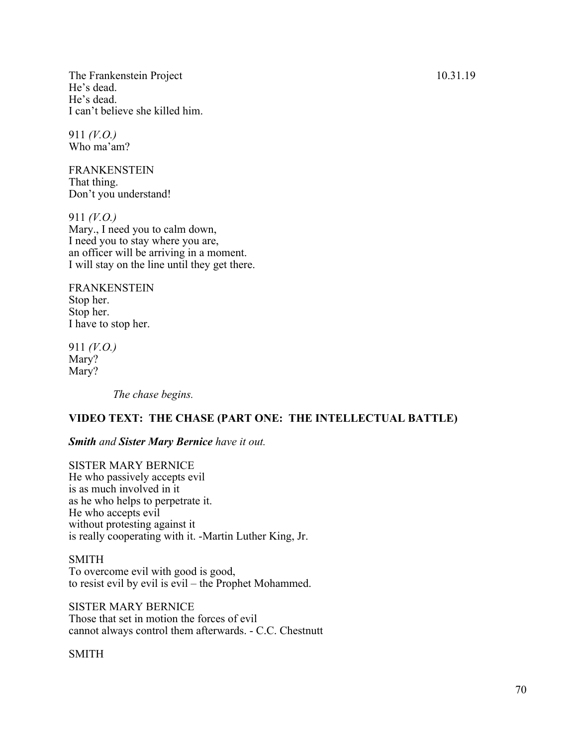The Frankenstein Project 10.31.19 He's dead. He's dead. I can't believe she killed him.

911 *(V.O.)* Who ma'am?

FRANKENSTEIN That thing. Don't you understand!

911 *(V.O.)* Mary., I need you to calm down, I need you to stay where you are, an officer will be arriving in a moment. I will stay on the line until they get there.

FRANKENSTEIN Stop her. Stop her. I have to stop her.

911 *(V.O.)* Mary? Mary?

*The chase begins.*

# **VIDEO TEXT: THE CHASE (PART ONE: THE INTELLECTUAL BATTLE)**

# *Smith and Sister Mary Bernice have it out.*

SISTER MARY BERNICE He who passively accepts evil is as much involved in it as he who helps to perpetrate it. He who accepts evil without protesting against it is really cooperating with it. -Martin Luther King, Jr.

### SMITH

To overcome evil with good is good, to resist evil by evil is evil – the Prophet Mohammed.

SISTER MARY BERNICE Those that set in motion the forces of evil cannot always control them afterwards. - C.C. Chestnutt

SMITH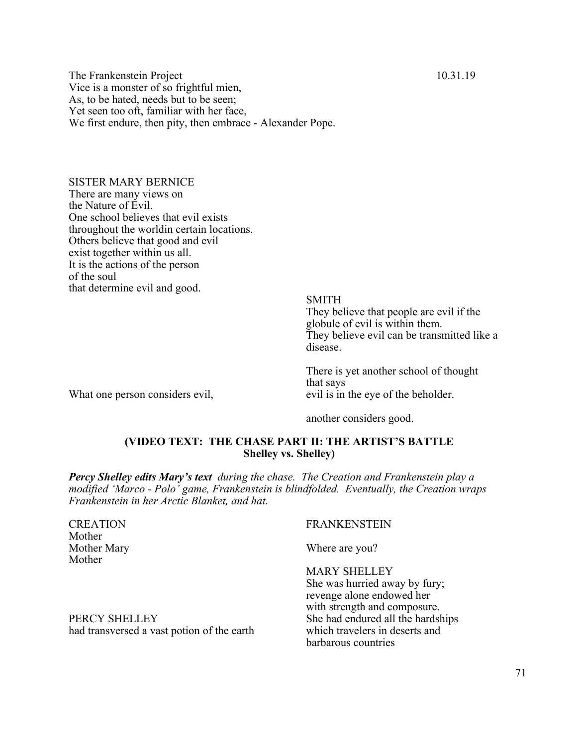The Frankenstein Project 10.31.19 Vice is a monster of so frightful mien, As, to be hated, needs but to be seen; Yet seen too oft, familiar with her face, We first endure, then pity, then embrace - Alexander Pope.

SISTER MARY BERNICE There are many views on the Nature of Evil. One school believes that evil exists throughout the worldin certain locations. Others believe that good and evil exist together within us all. It is the actions of the person of the soul that determine evil and good.

What one person considers evil,

SMITH They believe that people are evil if the globule of evil is within them. They believe evil can be transmitted like a disease.

There is yet another school of thought that says evil is in the eye of the beholder.

another considers good.

# **(VIDEO TEXT: THE CHASE PART II: THE ARTIST'S BATTLE Shelley vs. Shelley)**

*Percy Shelley edits Mary's text during the chase. The Creation and Frankenstein play a modified 'Marco - Polo' game, Frankenstein is blindfolded. Eventually, the Creation wraps Frankenstein in her Arctic Blanket, and hat.*

Mother Mother

### CREATION FRANKENSTEIN

Mother Mary Where are you?

MARY SHELLEY

She was hurried away by fury; revenge alone endowed her with strength and composure. barbarous countries

PERCY SHELLEY SHELLEY She had endured all the hardships had transversed a vast potion of the earth which travelers in deserts and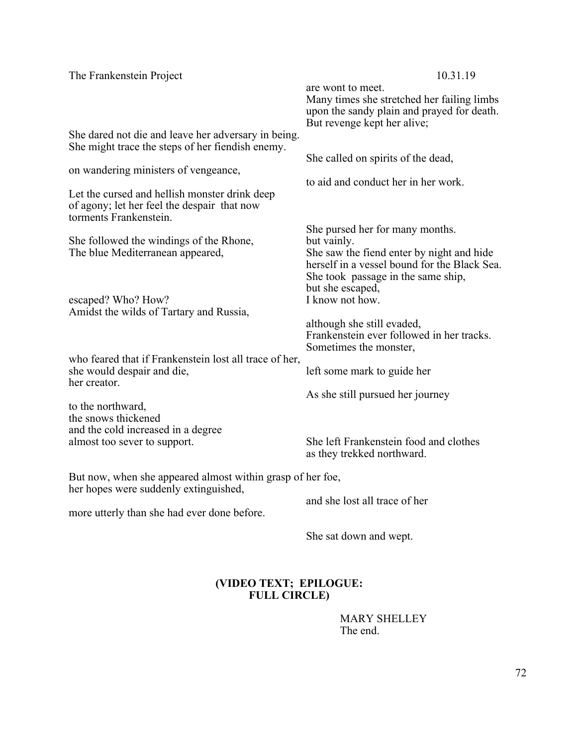| The Frankenstein Project                                                                                               | 10.31.19<br>are wont to meet.                                                                                                                       |
|------------------------------------------------------------------------------------------------------------------------|-----------------------------------------------------------------------------------------------------------------------------------------------------|
|                                                                                                                        | Many times she stretched her failing limbs<br>upon the sandy plain and prayed for death.<br>But revenge kept her alive;                             |
| She dared not die and leave her adversary in being.<br>She might trace the steps of her fiendish enemy.                |                                                                                                                                                     |
| on wandering ministers of vengeance,                                                                                   | She called on spirits of the dead,<br>to aid and conduct her in her work.                                                                           |
| Let the cursed and hellish monster drink deep<br>of agony; let her feel the despair that now<br>torments Frankenstein. |                                                                                                                                                     |
| She followed the windings of the Rhone,                                                                                | She pursed her for many months.<br>but vainly.                                                                                                      |
| The blue Mediterranean appeared,                                                                                       | She saw the fiend enter by night and hide<br>herself in a vessel bound for the Black Sea.<br>She took passage in the same ship,<br>but she escaped, |
| escaped? Who? How?<br>Amidst the wilds of Tartary and Russia,                                                          | I know not how.                                                                                                                                     |
|                                                                                                                        | although she still evaded,<br>Frankenstein ever followed in her tracks.<br>Sometimes the monster,                                                   |
| who feared that if Frankenstein lost all trace of her,<br>she would despair and die,<br>her creator.                   | left some mark to guide her                                                                                                                         |
| to the northward,                                                                                                      | As she still pursued her journey                                                                                                                    |
| the snows thickened<br>and the cold increased in a degree                                                              |                                                                                                                                                     |
| almost too sever to support.                                                                                           | She left Frankenstein food and clothes<br>as they trekked northward.                                                                                |
| But now, when she appeared almost within grasp of her foe,<br>her hopes were suddenly extinguished,                    |                                                                                                                                                     |
| more utterly than she had ever done before.                                                                            | and she lost all trace of her                                                                                                                       |
|                                                                                                                        | She sat down and wept.                                                                                                                              |

# **(VIDEO TEXT; EPILOGUE: FULL CIRCLE)**

MARY SHELLEY The end.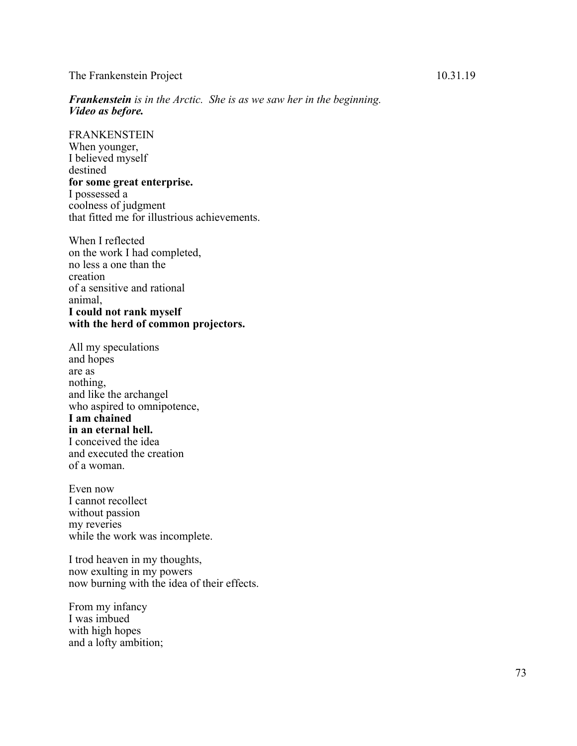## The Frankenstein Project 10.31.19

*Frankenstein is in the Arctic. She is as we saw her in the beginning. Video as before.*

FRANKENSTEIN When younger, I believed myself destined **for some great enterprise.** I possessed a coolness of judgment that fitted me for illustrious achievements.

When I reflected on the work I had completed, no less a one than the creation of a sensitive and rational animal, **I could not rank myself with the herd of common projectors.**

All my speculations and hopes are as nothing, and like the archangel who aspired to omnipotence, **I am chained in an eternal hell.** I conceived the idea and executed the creation of a woman.

Even now I cannot recollect without passion my reveries while the work was incomplete.

I trod heaven in my thoughts, now exulting in my powers now burning with the idea of their effects.

From my infancy I was imbued with high hopes and a lofty ambition;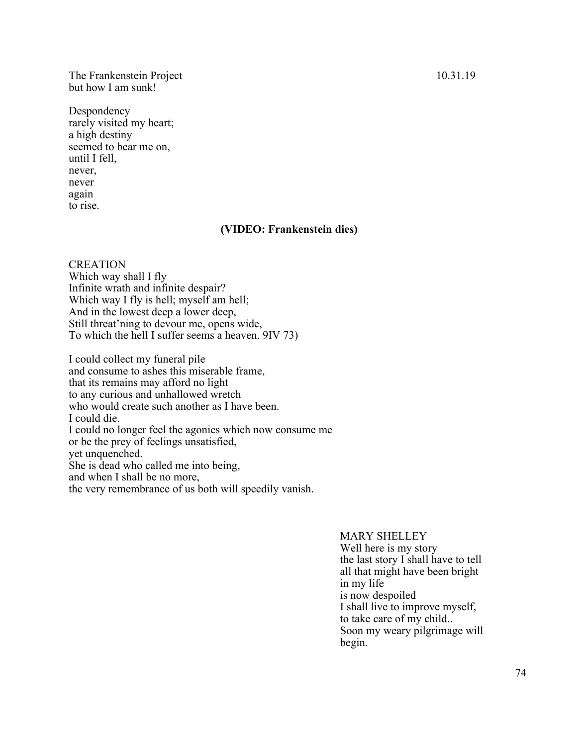## The Frankenstein Project 10.31.19 but how I am sunk!

Despondency rarely visited my heart; a high destiny seemed to bear me on, until I fell, never, never again to rise.

## **(VIDEO: Frankenstein dies)**

**CREATION** Which way shall I fly Infinite wrath and infinite despair? Which way I fly is hell; myself am hell; And in the lowest deep a lower deep, Still threat'ning to devour me, opens wide, To which the hell I suffer seems a heaven. 9IV 73)

I could collect my funeral pile and consume to ashes this miserable frame, that its remains may afford no light to any curious and unhallowed wretch who would create such another as I have been. I could die. I could no longer feel the agonies which now consume me or be the prey of feelings unsatisfied, yet unquenched. She is dead who called me into being, and when I shall be no more, the very remembrance of us both will speedily vanish.

## MARY SHELLEY

Well here is my story the last story I shall have to tell all that might have been bright in my life is now despoiled I shall live to improve myself, to take care of my child.. Soon my weary pilgrimage will begin.